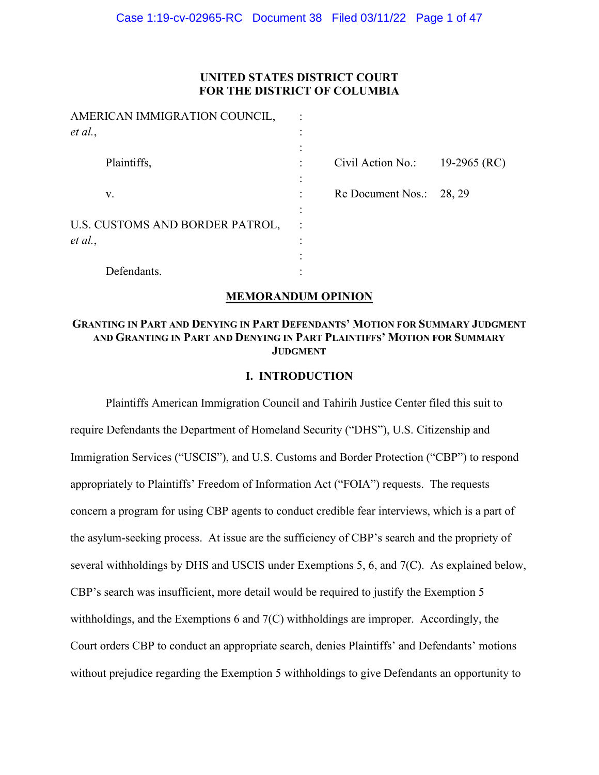## **UNITED STATES DISTRICT COURT FOR THE DISTRICT OF COLUMBIA**

| AMERICAN IMMIGRATION COUNCIL,   |                   |              |
|---------------------------------|-------------------|--------------|
| et al.,                         |                   |              |
|                                 |                   |              |
| Plaintiffs,                     | Civil Action No.: | 19-2965 (RC) |
|                                 |                   |              |
| V.                              | Re Document Nos.: | 28, 29       |
|                                 |                   |              |
| U.S. CUSTOMS AND BORDER PATROL, |                   |              |
| et al.,                         |                   |              |
|                                 |                   |              |
| Defendants.                     |                   |              |

### **MEMORANDUM OPINION**

# **GRANTING IN PART AND DENYING IN PART DEFENDANTS' MOTION FOR SUMMARY JUDGMENT AND GRANTING IN PART AND DENYING IN PART PLAINTIFFS' MOTION FOR SUMMARY JUDGMENT**

### **I. INTRODUCTION**

Plaintiffs American Immigration Council and Tahirih Justice Center filed this suit to require Defendants the Department of Homeland Security ("DHS"), U.S. Citizenship and Immigration Services ("USCIS"), and U.S. Customs and Border Protection ("CBP") to respond appropriately to Plaintiffs' Freedom of Information Act ("FOIA") requests. The requests concern a program for using CBP agents to conduct credible fear interviews, which is a part of the asylum-seeking process. At issue are the sufficiency of CBP's search and the propriety of several withholdings by DHS and USCIS under Exemptions 5, 6, and 7(C). As explained below, CBP's search was insufficient, more detail would be required to justify the Exemption 5 withholdings, and the Exemptions 6 and 7(C) withholdings are improper. Accordingly, the Court orders CBP to conduct an appropriate search, denies Plaintiffs' and Defendants' motions without prejudice regarding the Exemption 5 withholdings to give Defendants an opportunity to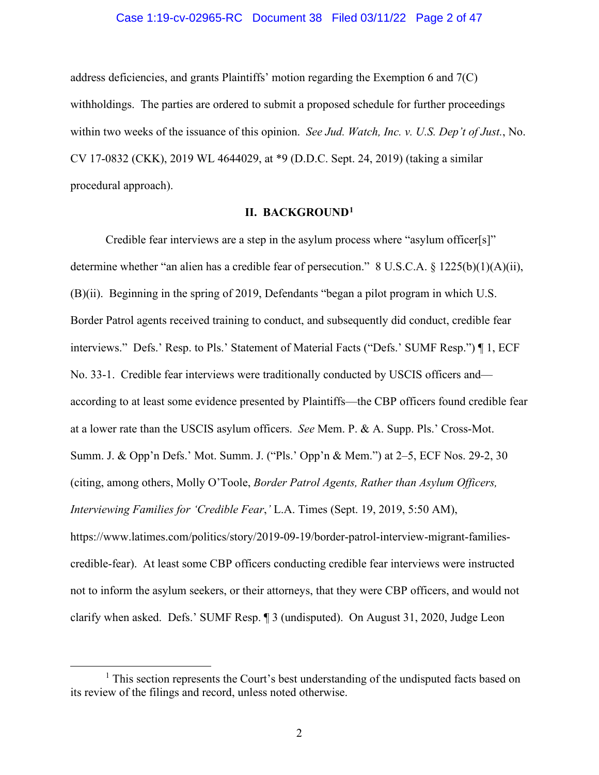### Case 1:19-cv-02965-RC Document 38 Filed 03/11/22 Page 2 of 47

address deficiencies, and grants Plaintiffs' motion regarding the Exemption 6 and 7(C) withholdings. The parties are ordered to submit a proposed schedule for further proceedings within two weeks of the issuance of this opinion. *See Jud. Watch, Inc. v. U.S. Dep't of Just.*, No. CV 17-0832 (CKK), 2019 WL 4644029, at \*9 (D.D.C. Sept. 24, 2019) (taking a similar procedural approach).

## **II. BACKGROUND1**

Credible fear interviews are a step in the asylum process where "asylum officer[s]" determine whether "an alien has a credible fear of persecution." 8 U.S.C.A. § 1225(b)(1)(A)(ii), (B)(ii). Beginning in the spring of 2019, Defendants "began a pilot program in which U.S. Border Patrol agents received training to conduct, and subsequently did conduct, credible fear interviews." Defs.' Resp. to Pls.' Statement of Material Facts ("Defs.' SUMF Resp.") ¶ 1, ECF No. 33-1. Credible fear interviews were traditionally conducted by USCIS officers and according to at least some evidence presented by Plaintiffs—the CBP officers found credible fear at a lower rate than the USCIS asylum officers. *See* Mem. P. & A. Supp. Pls.' Cross-Mot. Summ. J. & Opp'n Defs.' Mot. Summ. J. ("Pls.' Opp'n & Mem.") at 2–5, ECF Nos. 29-2, 30 (citing, among others, Molly O'Toole, *Border Patrol Agents, Rather than Asylum Officers, Interviewing Families for 'Credible Fear*,*'* L.A. Times (Sept. 19, 2019, 5:50 AM), https://www.latimes.com/politics/story/2019-09-19/border-patrol-interview-migrant-familiescredible-fear). At least some CBP officers conducting credible fear interviews were instructed not to inform the asylum seekers, or their attorneys, that they were CBP officers, and would not clarify when asked. Defs.' SUMF Resp. ¶ 3 (undisputed). On August 31, 2020, Judge Leon

<sup>&</sup>lt;sup>1</sup> This section represents the Court's best understanding of the undisputed facts based on its review of the filings and record, unless noted otherwise.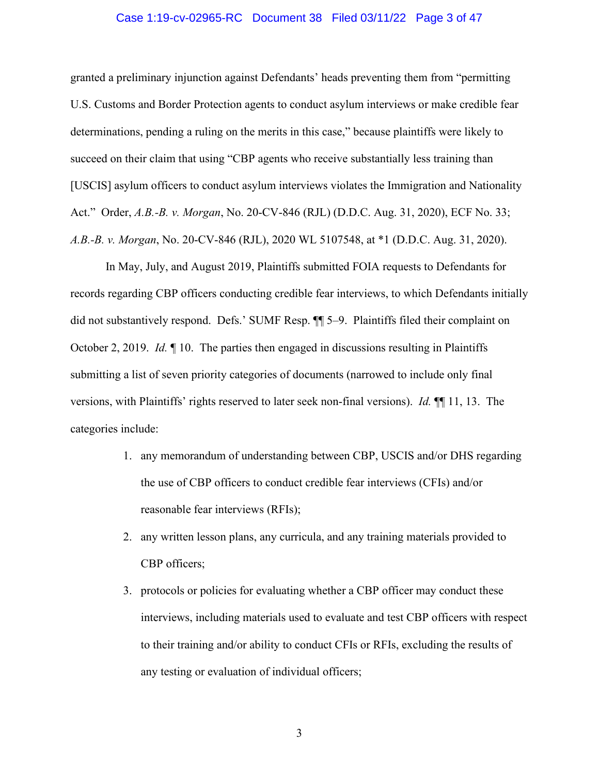### Case 1:19-cv-02965-RC Document 38 Filed 03/11/22 Page 3 of 47

granted a preliminary injunction against Defendants' heads preventing them from "permitting U.S. Customs and Border Protection agents to conduct asylum interviews or make credible fear determinations, pending a ruling on the merits in this case," because plaintiffs were likely to succeed on their claim that using "CBP agents who receive substantially less training than [USCIS] asylum officers to conduct asylum interviews violates the Immigration and Nationality Act." Order, *A.B.-B. v. Morgan*, No. 20-CV-846 (RJL) (D.D.C. Aug. 31, 2020), ECF No. 33; *A.B.-B. v. Morgan*, No. 20-CV-846 (RJL), 2020 WL 5107548, at \*1 (D.D.C. Aug. 31, 2020).

In May, July, and August 2019, Plaintiffs submitted FOIA requests to Defendants for records regarding CBP officers conducting credible fear interviews, to which Defendants initially did not substantively respond. Defs.' SUMF Resp. ¶¶ 5–9. Plaintiffs filed their complaint on October 2, 2019. *Id.* ¶ 10. The parties then engaged in discussions resulting in Plaintiffs submitting a list of seven priority categories of documents (narrowed to include only final versions, with Plaintiffs' rights reserved to later seek non-final versions). *Id.* ¶¶ 11, 13. The categories include:

- 1. any memorandum of understanding between CBP, USCIS and/or DHS regarding the use of CBP officers to conduct credible fear interviews (CFIs) and/or reasonable fear interviews (RFIs);
- 2. any written lesson plans, any curricula, and any training materials provided to CBP officers;
- 3. protocols or policies for evaluating whether a CBP officer may conduct these interviews, including materials used to evaluate and test CBP officers with respect to their training and/or ability to conduct CFIs or RFIs, excluding the results of any testing or evaluation of individual officers;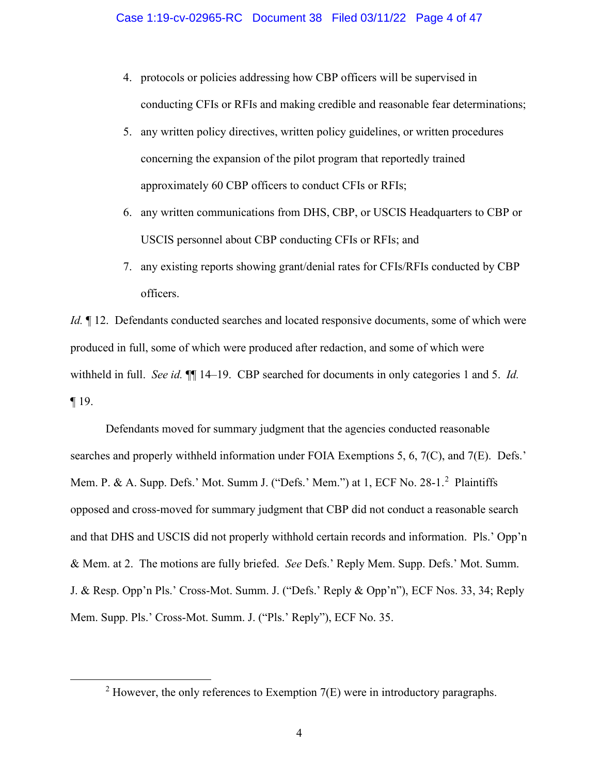- 4. protocols or policies addressing how CBP officers will be supervised in conducting CFIs or RFIs and making credible and reasonable fear determinations;
- 5. any written policy directives, written policy guidelines, or written procedures concerning the expansion of the pilot program that reportedly trained approximately 60 CBP officers to conduct CFIs or RFIs;
- 6. any written communications from DHS, CBP, or USCIS Headquarters to CBP or USCIS personnel about CBP conducting CFIs or RFIs; and
- 7. any existing reports showing grant/denial rates for CFIs/RFIs conducted by CBP officers.

*Id.*  $\parallel$  12. Defendants conducted searches and located responsive documents, some of which were produced in full, some of which were produced after redaction, and some of which were withheld in full. *See id.* ¶¶ 14–19. CBP searched for documents in only categories 1 and 5. *Id.* ¶ 19.

Defendants moved for summary judgment that the agencies conducted reasonable searches and properly withheld information under FOIA Exemptions 5, 6, 7(C), and 7(E). Defs.' Mem. P. & A. Supp. Defs.' Mot. Summ J. ("Defs.' Mem.") at 1, ECF No. 28-1.<sup>2</sup> Plaintiffs opposed and cross-moved for summary judgment that CBP did not conduct a reasonable search and that DHS and USCIS did not properly withhold certain records and information. Pls.' Opp'n & Mem. at 2. The motions are fully briefed. *See* Defs.' Reply Mem. Supp. Defs.' Mot. Summ. J. & Resp. Opp'n Pls.' Cross-Mot. Summ. J. ("Defs.' Reply & Opp'n"), ECF Nos. 33, 34; Reply Mem. Supp. Pls.' Cross-Mot. Summ. J. ("Pls.' Reply"), ECF No. 35.

<sup>&</sup>lt;sup>2</sup> However, the only references to Exemption  $7(E)$  were in introductory paragraphs.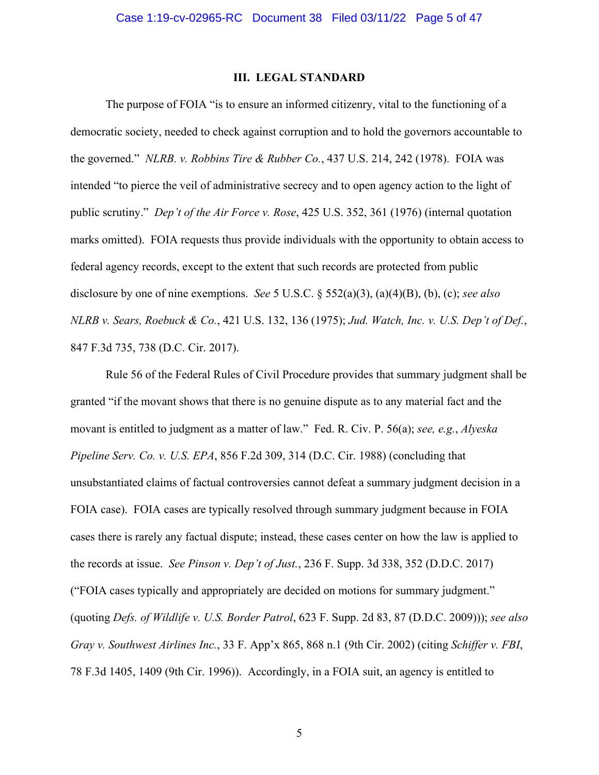### **III. LEGAL STANDARD**

The purpose of FOIA "is to ensure an informed citizenry, vital to the functioning of a democratic society, needed to check against corruption and to hold the governors accountable to the governed." *NLRB. v. Robbins Tire & Rubber Co.*, 437 U.S. 214, 242 (1978). FOIA was intended "to pierce the veil of administrative secrecy and to open agency action to the light of public scrutiny." *Dep't of the Air Force v. Rose*, 425 U.S. 352, 361 (1976) (internal quotation marks omitted). FOIA requests thus provide individuals with the opportunity to obtain access to federal agency records, except to the extent that such records are protected from public disclosure by one of nine exemptions. *See* 5 U.S.C. § 552(a)(3), (a)(4)(B), (b), (c); *see also NLRB v. Sears, Roebuck & Co.*, 421 U.S. 132, 136 (1975); *Jud. Watch, Inc. v. U.S. Dep't of Def.*, 847 F.3d 735, 738 (D.C. Cir. 2017).

Rule 56 of the Federal Rules of Civil Procedure provides that summary judgment shall be granted "if the movant shows that there is no genuine dispute as to any material fact and the movant is entitled to judgment as a matter of law." Fed. R. Civ. P. 56(a); *see, e.g.*, *Alyeska Pipeline Serv. Co. v. U.S. EPA*, 856 F.2d 309, 314 (D.C. Cir. 1988) (concluding that unsubstantiated claims of factual controversies cannot defeat a summary judgment decision in a FOIA case). FOIA cases are typically resolved through summary judgment because in FOIA cases there is rarely any factual dispute; instead, these cases center on how the law is applied to the records at issue. *See Pinson v. Dep't of Just.*, 236 F. Supp. 3d 338, 352 (D.D.C. 2017) ("FOIA cases typically and appropriately are decided on motions for summary judgment." (quoting *Defs. of Wildlife v. U.S. Border Patrol*, 623 F. Supp. 2d 83, 87 (D.D.C. 2009))); *see also Gray v. Southwest Airlines Inc.*, 33 F. App'x 865, 868 n.1 (9th Cir. 2002) (citing *Schiffer v. FBI*, 78 F.3d 1405, 1409 (9th Cir. 1996)). Accordingly, in a FOIA suit, an agency is entitled to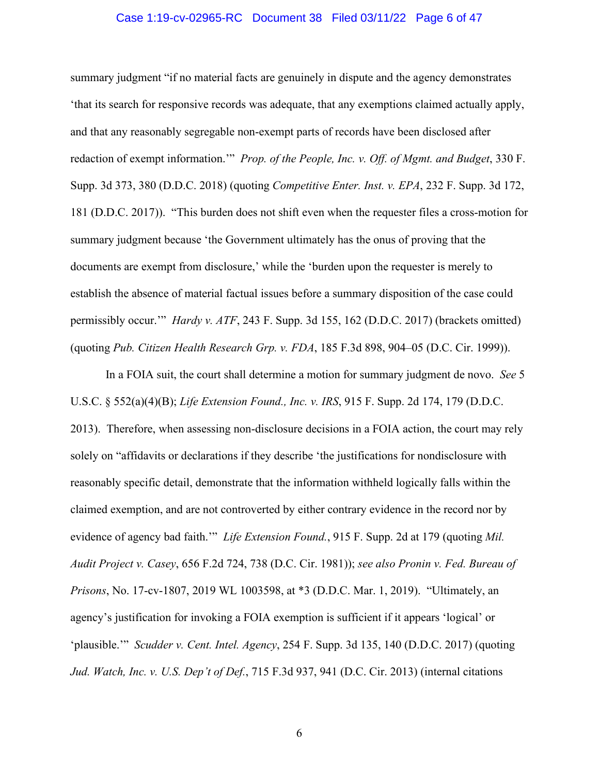## Case 1:19-cv-02965-RC Document 38 Filed 03/11/22 Page 6 of 47

summary judgment "if no material facts are genuinely in dispute and the agency demonstrates 'that its search for responsive records was adequate, that any exemptions claimed actually apply, and that any reasonably segregable non-exempt parts of records have been disclosed after redaction of exempt information.'" *Prop. of the People, Inc. v. Off. of Mgmt. and Budget*, 330 F. Supp. 3d 373, 380 (D.D.C. 2018) (quoting *Competitive Enter. Inst. v. EPA*, 232 F. Supp. 3d 172, 181 (D.D.C. 2017)). "This burden does not shift even when the requester files a cross-motion for summary judgment because 'the Government ultimately has the onus of proving that the documents are exempt from disclosure,' while the 'burden upon the requester is merely to establish the absence of material factual issues before a summary disposition of the case could permissibly occur.'" *Hardy v. ATF*, 243 F. Supp. 3d 155, 162 (D.D.C. 2017) (brackets omitted) (quoting *Pub. Citizen Health Research Grp. v. FDA*, 185 F.3d 898, 904–05 (D.C. Cir. 1999)).

In a FOIA suit, the court shall determine a motion for summary judgment de novo. *See* 5 U.S.C. § 552(a)(4)(B); *Life Extension Found., Inc. v. IRS*, 915 F. Supp. 2d 174, 179 (D.D.C. 2013). Therefore, when assessing non-disclosure decisions in a FOIA action, the court may rely solely on "affidavits or declarations if they describe 'the justifications for nondisclosure with reasonably specific detail, demonstrate that the information withheld logically falls within the claimed exemption, and are not controverted by either contrary evidence in the record nor by evidence of agency bad faith.'" *Life Extension Found.*, 915 F. Supp. 2d at 179 (quoting *Mil. Audit Project v. Casey*, 656 F.2d 724, 738 (D.C. Cir. 1981)); *see also Pronin v. Fed. Bureau of Prisons*, No. 17-cv-1807, 2019 WL 1003598, at \*3 (D.D.C. Mar. 1, 2019). "Ultimately, an agency's justification for invoking a FOIA exemption is sufficient if it appears 'logical' or 'plausible.'" *Scudder v. Cent. Intel. Agency*, 254 F. Supp. 3d 135, 140 (D.D.C. 2017) (quoting *Jud. Watch, Inc. v. U.S. Dep't of Def.*, 715 F.3d 937, 941 (D.C. Cir. 2013) (internal citations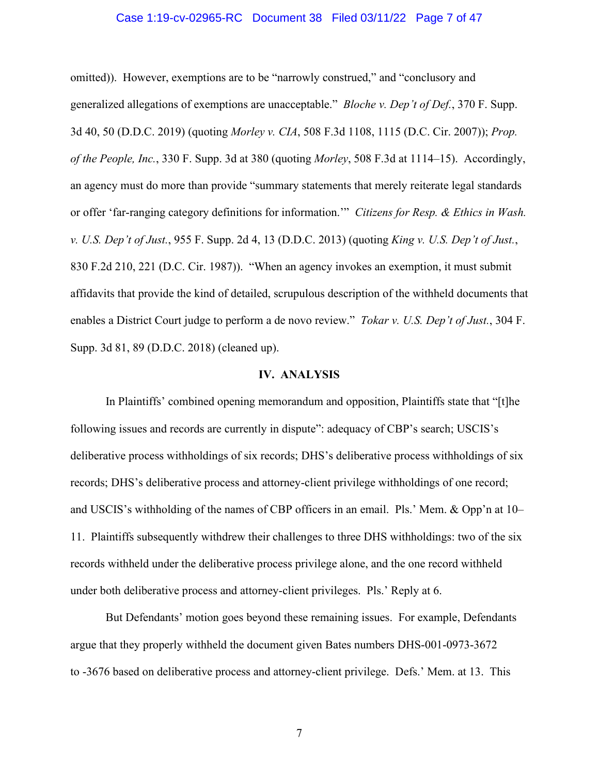### Case 1:19-cv-02965-RC Document 38 Filed 03/11/22 Page 7 of 47

omitted)). However, exemptions are to be "narrowly construed," and "conclusory and generalized allegations of exemptions are unacceptable." *Bloche v. Dep't of Def.*, 370 F. Supp. 3d 40, 50 (D.D.C. 2019) (quoting *Morley v. CIA*, 508 F.3d 1108, 1115 (D.C. Cir. 2007)); *Prop. of the People, Inc.*, 330 F. Supp. 3d at 380 (quoting *Morley*, 508 F.3d at 1114–15). Accordingly, an agency must do more than provide "summary statements that merely reiterate legal standards or offer 'far-ranging category definitions for information.'" *Citizens for Resp. & Ethics in Wash. v. U.S. Dep't of Just.*, 955 F. Supp. 2d 4, 13 (D.D.C. 2013) (quoting *King v. U.S. Dep't of Just.*, 830 F.2d 210, 221 (D.C. Cir. 1987)). "When an agency invokes an exemption, it must submit affidavits that provide the kind of detailed, scrupulous description of the withheld documents that enables a District Court judge to perform a de novo review." *Tokar v. U.S. Dep't of Just.*, 304 F. Supp. 3d 81, 89 (D.D.C. 2018) (cleaned up).

#### **IV. ANALYSIS**

In Plaintiffs' combined opening memorandum and opposition, Plaintiffs state that "[t]he following issues and records are currently in dispute": adequacy of CBP's search; USCIS's deliberative process withholdings of six records; DHS's deliberative process withholdings of six records; DHS's deliberative process and attorney-client privilege withholdings of one record; and USCIS's withholding of the names of CBP officers in an email. Pls.' Mem. & Opp'n at 10– 11. Plaintiffs subsequently withdrew their challenges to three DHS withholdings: two of the six records withheld under the deliberative process privilege alone, and the one record withheld under both deliberative process and attorney-client privileges. Pls.' Reply at 6.

But Defendants' motion goes beyond these remaining issues. For example, Defendants argue that they properly withheld the document given Bates numbers DHS-001-0973-3672 to -3676 based on deliberative process and attorney-client privilege. Defs.' Mem. at 13. This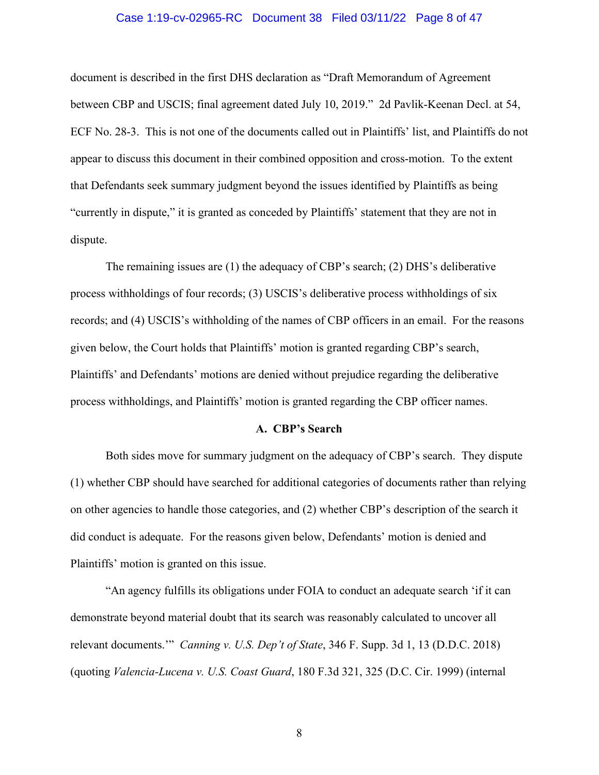### Case 1:19-cv-02965-RC Document 38 Filed 03/11/22 Page 8 of 47

document is described in the first DHS declaration as "Draft Memorandum of Agreement between CBP and USCIS; final agreement dated July 10, 2019." 2d Pavlik-Keenan Decl. at 54, ECF No. 28-3. This is not one of the documents called out in Plaintiffs' list, and Plaintiffs do not appear to discuss this document in their combined opposition and cross-motion. To the extent that Defendants seek summary judgment beyond the issues identified by Plaintiffs as being "currently in dispute," it is granted as conceded by Plaintiffs' statement that they are not in dispute.

The remaining issues are (1) the adequacy of CBP's search; (2) DHS's deliberative process withholdings of four records; (3) USCIS's deliberative process withholdings of six records; and (4) USCIS's withholding of the names of CBP officers in an email. For the reasons given below, the Court holds that Plaintiffs' motion is granted regarding CBP's search, Plaintiffs' and Defendants' motions are denied without prejudice regarding the deliberative process withholdings, and Plaintiffs' motion is granted regarding the CBP officer names.

#### **A. CBP's Search**

Both sides move for summary judgment on the adequacy of CBP's search. They dispute (1) whether CBP should have searched for additional categories of documents rather than relying on other agencies to handle those categories, and (2) whether CBP's description of the search it did conduct is adequate. For the reasons given below, Defendants' motion is denied and Plaintiffs' motion is granted on this issue.

"An agency fulfills its obligations under FOIA to conduct an adequate search 'if it can demonstrate beyond material doubt that its search was reasonably calculated to uncover all relevant documents.'" *Canning v. U.S. Dep't of State*, 346 F. Supp. 3d 1, 13 (D.D.C. 2018) (quoting *Valencia-Lucena v. U.S. Coast Guard*, 180 F.3d 321, 325 (D.C. Cir. 1999) (internal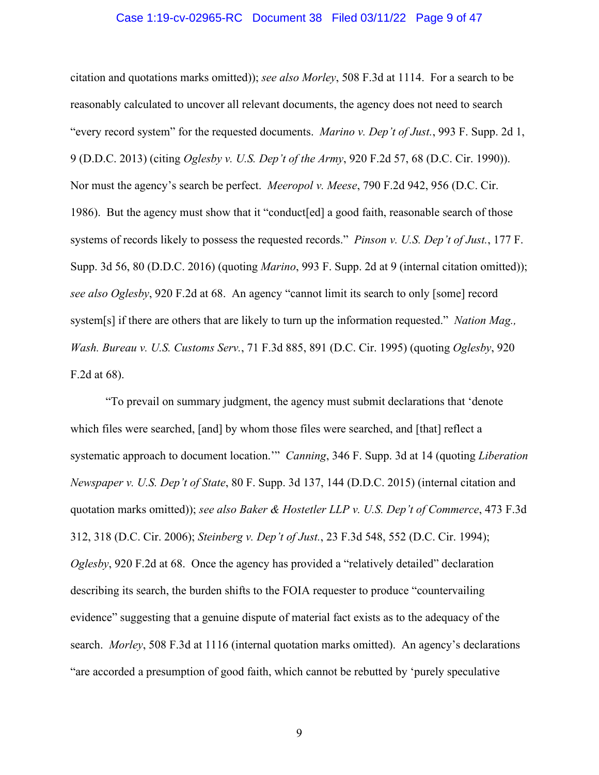## Case 1:19-cv-02965-RC Document 38 Filed 03/11/22 Page 9 of 47

citation and quotations marks omitted)); *see also Morley*, 508 F.3d at 1114. For a search to be reasonably calculated to uncover all relevant documents, the agency does not need to search "every record system" for the requested documents. *Marino v. Dep't of Just.*, 993 F. Supp. 2d 1, 9 (D.D.C. 2013) (citing *Oglesby v. U.S. Dep't of the Army*, 920 F.2d 57, 68 (D.C. Cir. 1990)). Nor must the agency's search be perfect. *Meeropol v. Meese*, 790 F.2d 942, 956 (D.C. Cir. 1986). But the agency must show that it "conduct[ed] a good faith, reasonable search of those systems of records likely to possess the requested records." *Pinson v. U.S. Dep't of Just.*, 177 F. Supp. 3d 56, 80 (D.D.C. 2016) (quoting *Marino*, 993 F. Supp. 2d at 9 (internal citation omitted)); *see also Oglesby*, 920 F.2d at 68. An agency "cannot limit its search to only [some] record system[s] if there are others that are likely to turn up the information requested." *Nation Mag., Wash. Bureau v. U.S. Customs Serv.*, 71 F.3d 885, 891 (D.C. Cir. 1995) (quoting *Oglesby*, 920 F.2d at 68).

"To prevail on summary judgment, the agency must submit declarations that 'denote which files were searched, [and] by whom those files were searched, and [that] reflect a systematic approach to document location.'" *Canning*, 346 F. Supp. 3d at 14 (quoting *Liberation Newspaper v. U.S. Dep't of State*, 80 F. Supp. 3d 137, 144 (D.D.C. 2015) (internal citation and quotation marks omitted)); *see also Baker & Hostetler LLP v. U.S. Dep't of Commerce*, 473 F.3d 312, 318 (D.C. Cir. 2006); *Steinberg v. Dep't of Just.*, 23 F.3d 548, 552 (D.C. Cir. 1994); *Oglesby*, 920 F.2d at 68. Once the agency has provided a "relatively detailed" declaration describing its search, the burden shifts to the FOIA requester to produce "countervailing evidence" suggesting that a genuine dispute of material fact exists as to the adequacy of the search. *Morley*, 508 F.3d at 1116 (internal quotation marks omitted). An agency's declarations "are accorded a presumption of good faith, which cannot be rebutted by 'purely speculative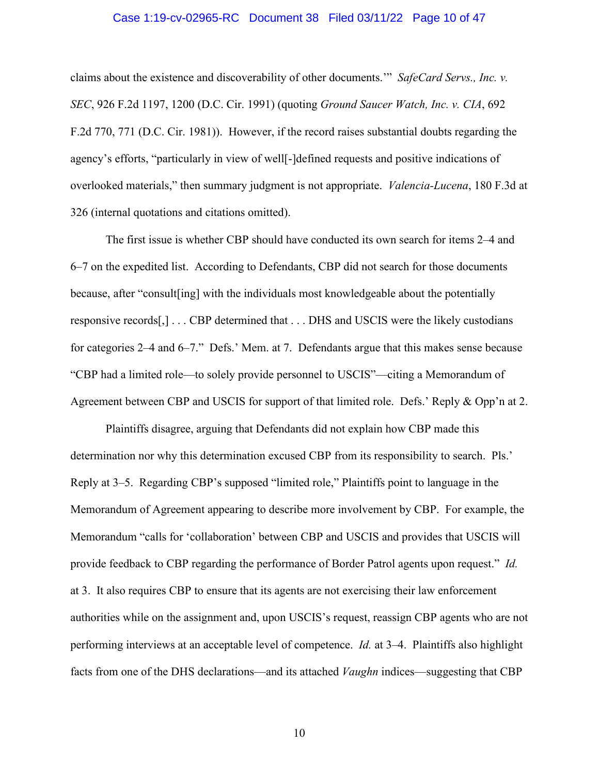### Case 1:19-cv-02965-RC Document 38 Filed 03/11/22 Page 10 of 47

claims about the existence and discoverability of other documents.'" *SafeCard Servs., Inc. v. SEC*, 926 F.2d 1197, 1200 (D.C. Cir. 1991) (quoting *Ground Saucer Watch, Inc. v. CIA*, 692 F.2d 770, 771 (D.C. Cir. 1981)). However, if the record raises substantial doubts regarding the agency's efforts, "particularly in view of well[-]defined requests and positive indications of overlooked materials," then summary judgment is not appropriate. *Valencia-Lucena*, 180 F.3d at 326 (internal quotations and citations omitted).

The first issue is whether CBP should have conducted its own search for items 2–4 and 6–7 on the expedited list. According to Defendants, CBP did not search for those documents because, after "consult[ing] with the individuals most knowledgeable about the potentially responsive records[,] . . . CBP determined that . . . DHS and USCIS were the likely custodians for categories 2–4 and 6–7." Defs.' Mem. at 7. Defendants argue that this makes sense because "CBP had a limited role—to solely provide personnel to USCIS"—citing a Memorandum of Agreement between CBP and USCIS for support of that limited role. Defs.' Reply & Opp'n at 2.

Plaintiffs disagree, arguing that Defendants did not explain how CBP made this determination nor why this determination excused CBP from its responsibility to search. Pls.' Reply at 3–5. Regarding CBP's supposed "limited role," Plaintiffs point to language in the Memorandum of Agreement appearing to describe more involvement by CBP. For example, the Memorandum "calls for 'collaboration' between CBP and USCIS and provides that USCIS will provide feedback to CBP regarding the performance of Border Patrol agents upon request." *Id.* at 3. It also requires CBP to ensure that its agents are not exercising their law enforcement authorities while on the assignment and, upon USCIS's request, reassign CBP agents who are not performing interviews at an acceptable level of competence. *Id.* at 3–4. Plaintiffs also highlight facts from one of the DHS declarations—and its attached *Vaughn* indices—suggesting that CBP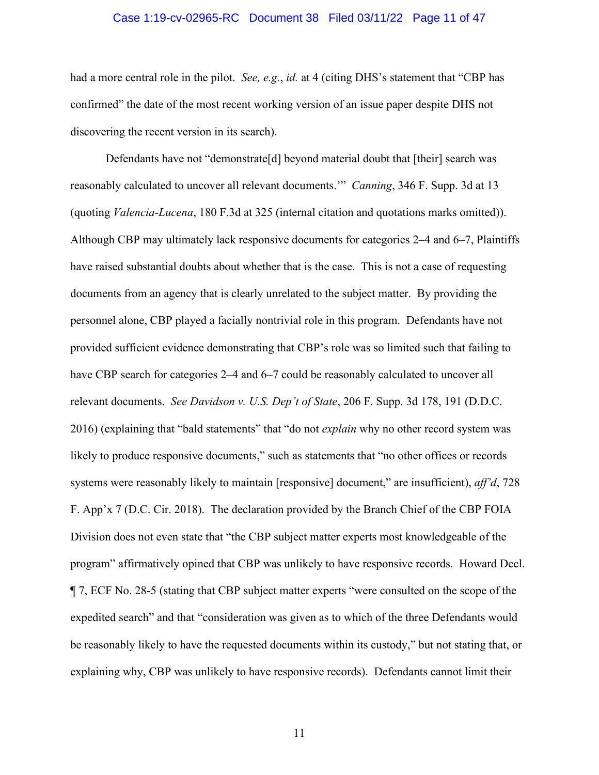### Case 1:19-cv-02965-RC Document 38 Filed 03/11/22 Page 11 of 47

had a more central role in the pilot. *See, e.g.*, *id.* at 4 (citing DHS's statement that "CBP has confirmed" the date of the most recent working version of an issue paper despite DHS not discovering the recent version in its search).

Defendants have not "demonstrate[d] beyond material doubt that [their] search was reasonably calculated to uncover all relevant documents.'" *Canning*, 346 F. Supp. 3d at 13 (quoting *Valencia-Lucena*, 180 F.3d at 325 (internal citation and quotations marks omitted)). Although CBP may ultimately lack responsive documents for categories 2–4 and 6–7, Plaintiffs have raised substantial doubts about whether that is the case. This is not a case of requesting documents from an agency that is clearly unrelated to the subject matter. By providing the personnel alone, CBP played a facially nontrivial role in this program. Defendants have not provided sufficient evidence demonstrating that CBP's role was so limited such that failing to have CBP search for categories 2–4 and 6–7 could be reasonably calculated to uncover all relevant documents. *See Davidson v. U.S. Dep't of State*, 206 F. Supp. 3d 178, 191 (D.D.C. 2016) (explaining that "bald statements" that "do not *explain* why no other record system was likely to produce responsive documents," such as statements that "no other offices or records systems were reasonably likely to maintain [responsive] document," are insufficient), *aff'd*, 728 F. App'x 7 (D.C. Cir. 2018). The declaration provided by the Branch Chief of the CBP FOIA Division does not even state that "the CBP subject matter experts most knowledgeable of the program" affirmatively opined that CBP was unlikely to have responsive records. Howard Decl. ¶ 7, ECF No. 28-5 (stating that CBP subject matter experts "were consulted on the scope of the expedited search" and that "consideration was given as to which of the three Defendants would be reasonably likely to have the requested documents within its custody," but not stating that, or explaining why, CBP was unlikely to have responsive records). Defendants cannot limit their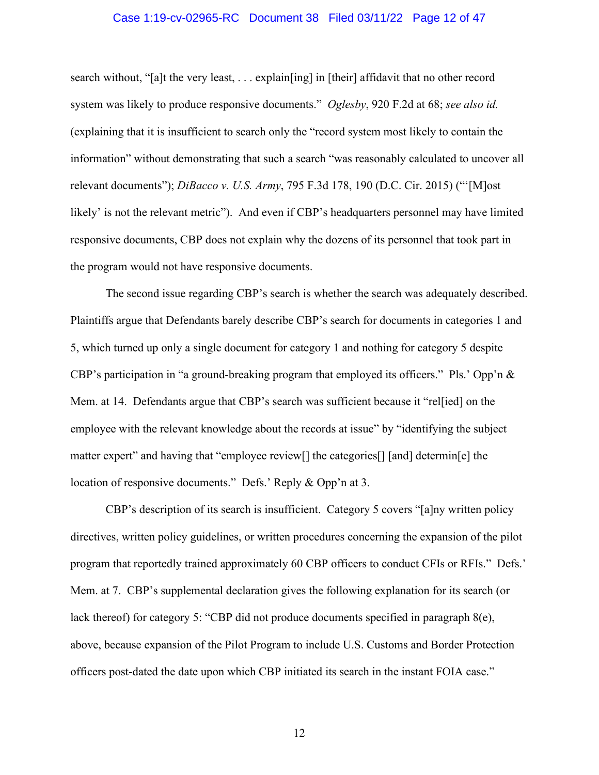### Case 1:19-cv-02965-RC Document 38 Filed 03/11/22 Page 12 of 47

search without, "[a]t the very least, . . . explain[ing] in [their] affidavit that no other record system was likely to produce responsive documents." *Oglesby*, 920 F.2d at 68; *see also id.* (explaining that it is insufficient to search only the "record system most likely to contain the information" without demonstrating that such a search "was reasonably calculated to uncover all relevant documents"); *DiBacco v. U.S. Army*, 795 F.3d 178, 190 (D.C. Cir. 2015) ("'[M]ost likely' is not the relevant metric"). And even if CBP's headquarters personnel may have limited responsive documents, CBP does not explain why the dozens of its personnel that took part in the program would not have responsive documents.

The second issue regarding CBP's search is whether the search was adequately described. Plaintiffs argue that Defendants barely describe CBP's search for documents in categories 1 and 5, which turned up only a single document for category 1 and nothing for category 5 despite CBP's participation in "a ground-breaking program that employed its officers." Pls.' Opp'n  $\&$ Mem. at 14. Defendants argue that CBP's search was sufficient because it "rel[ied] on the employee with the relevant knowledge about the records at issue" by "identifying the subject matter expert" and having that "employee review[] the categories[] [and] determin[e] the location of responsive documents." Defs.' Reply & Opp'n at 3.

CBP's description of its search is insufficient. Category 5 covers "[a]ny written policy directives, written policy guidelines, or written procedures concerning the expansion of the pilot program that reportedly trained approximately 60 CBP officers to conduct CFIs or RFIs." Defs.' Mem. at 7. CBP's supplemental declaration gives the following explanation for its search (or lack thereof) for category 5: "CBP did not produce documents specified in paragraph 8(e), above, because expansion of the Pilot Program to include U.S. Customs and Border Protection officers post-dated the date upon which CBP initiated its search in the instant FOIA case."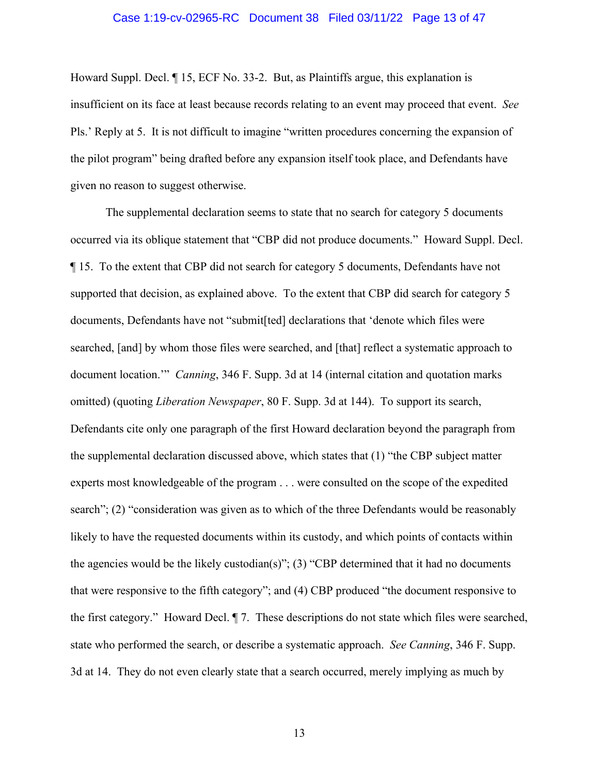### Case 1:19-cv-02965-RC Document 38 Filed 03/11/22 Page 13 of 47

Howard Suppl. Decl. ¶ 15, ECF No. 33-2. But, as Plaintiffs argue, this explanation is insufficient on its face at least because records relating to an event may proceed that event. *See* Pls.' Reply at 5. It is not difficult to imagine "written procedures concerning the expansion of the pilot program" being drafted before any expansion itself took place, and Defendants have given no reason to suggest otherwise.

The supplemental declaration seems to state that no search for category 5 documents occurred via its oblique statement that "CBP did not produce documents." Howard Suppl. Decl. ¶ 15. To the extent that CBP did not search for category 5 documents, Defendants have not supported that decision, as explained above. To the extent that CBP did search for category 5 documents, Defendants have not "submit[ted] declarations that 'denote which files were searched, [and] by whom those files were searched, and [that] reflect a systematic approach to document location.'" *Canning*, 346 F. Supp. 3d at 14 (internal citation and quotation marks omitted) (quoting *Liberation Newspaper*, 80 F. Supp. 3d at 144). To support its search, Defendants cite only one paragraph of the first Howard declaration beyond the paragraph from the supplemental declaration discussed above, which states that (1) "the CBP subject matter experts most knowledgeable of the program . . . were consulted on the scope of the expedited search"; (2) "consideration was given as to which of the three Defendants would be reasonably likely to have the requested documents within its custody, and which points of contacts within the agencies would be the likely custodian(s)"; (3) "CBP determined that it had no documents that were responsive to the fifth category"; and (4) CBP produced "the document responsive to the first category." Howard Decl. ¶ 7. These descriptions do not state which files were searched, state who performed the search, or describe a systematic approach. *See Canning*, 346 F. Supp. 3d at 14. They do not even clearly state that a search occurred, merely implying as much by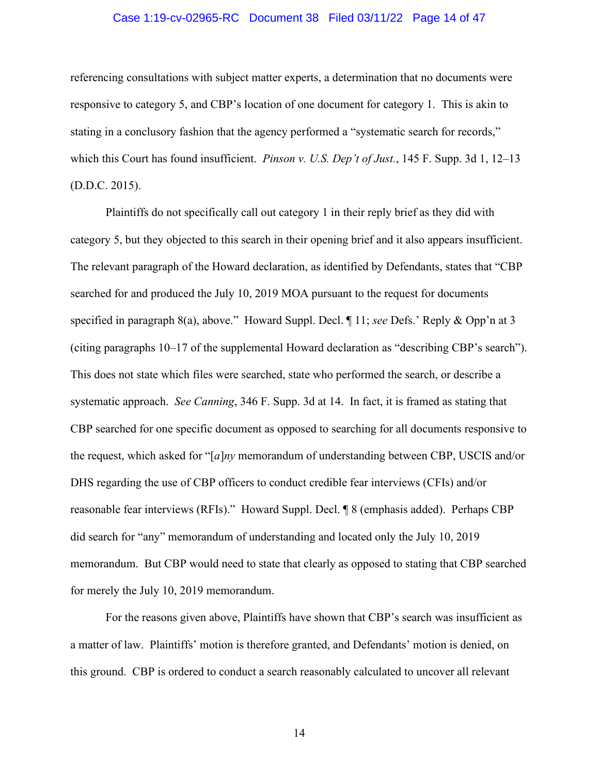### Case 1:19-cv-02965-RC Document 38 Filed 03/11/22 Page 14 of 47

referencing consultations with subject matter experts, a determination that no documents were responsive to category 5, and CBP's location of one document for category 1. This is akin to stating in a conclusory fashion that the agency performed a "systematic search for records," which this Court has found insufficient. *Pinson v. U.S. Dep't of Just.*, 145 F. Supp. 3d 1, 12–13 (D.D.C. 2015).

Plaintiffs do not specifically call out category 1 in their reply brief as they did with category 5, but they objected to this search in their opening brief and it also appears insufficient. The relevant paragraph of the Howard declaration, as identified by Defendants, states that "CBP searched for and produced the July 10, 2019 MOA pursuant to the request for documents specified in paragraph 8(a), above." Howard Suppl. Decl. ¶ 11; *see* Defs.' Reply & Opp'n at 3 (citing paragraphs 10–17 of the supplemental Howard declaration as "describing CBP's search"). This does not state which files were searched, state who performed the search, or describe a systematic approach. *See Canning*, 346 F. Supp. 3d at 14. In fact, it is framed as stating that CBP searched for one specific document as opposed to searching for all documents responsive to the request, which asked for "[*a*]*ny* memorandum of understanding between CBP, USCIS and/or DHS regarding the use of CBP officers to conduct credible fear interviews (CFIs) and/or reasonable fear interviews (RFIs)." Howard Suppl. Decl. ¶ 8 (emphasis added). Perhaps CBP did search for "any" memorandum of understanding and located only the July 10, 2019 memorandum. But CBP would need to state that clearly as opposed to stating that CBP searched for merely the July 10, 2019 memorandum.

For the reasons given above, Plaintiffs have shown that CBP's search was insufficient as a matter of law. Plaintiffs' motion is therefore granted, and Defendants' motion is denied, on this ground. CBP is ordered to conduct a search reasonably calculated to uncover all relevant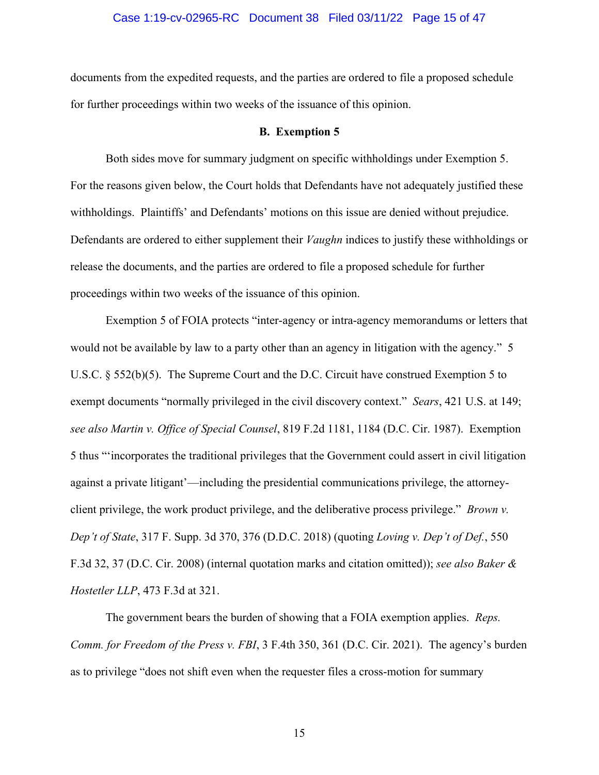### Case 1:19-cv-02965-RC Document 38 Filed 03/11/22 Page 15 of 47

documents from the expedited requests, and the parties are ordered to file a proposed schedule for further proceedings within two weeks of the issuance of this opinion.

#### **B. Exemption 5**

Both sides move for summary judgment on specific withholdings under Exemption 5. For the reasons given below, the Court holds that Defendants have not adequately justified these withholdings. Plaintiffs' and Defendants' motions on this issue are denied without prejudice. Defendants are ordered to either supplement their *Vaughn* indices to justify these withholdings or release the documents, and the parties are ordered to file a proposed schedule for further proceedings within two weeks of the issuance of this opinion.

Exemption 5 of FOIA protects "inter-agency or intra-agency memorandums or letters that would not be available by law to a party other than an agency in litigation with the agency." 5 U.S.C. § 552(b)(5). The Supreme Court and the D.C. Circuit have construed Exemption 5 to exempt documents "normally privileged in the civil discovery context." *Sears*, 421 U.S. at 149; *see also Martin v. Office of Special Counsel*, 819 F.2d 1181, 1184 (D.C. Cir. 1987). Exemption 5 thus "'incorporates the traditional privileges that the Government could assert in civil litigation against a private litigant'—including the presidential communications privilege, the attorneyclient privilege, the work product privilege, and the deliberative process privilege." *Brown v. Dep't of State*, 317 F. Supp. 3d 370, 376 (D.D.C. 2018) (quoting *Loving v. Dep't of Def.*, 550 F.3d 32, 37 (D.C. Cir. 2008) (internal quotation marks and citation omitted)); *see also Baker & Hostetler LLP*, 473 F.3d at 321.

The government bears the burden of showing that a FOIA exemption applies. *Reps. Comm. for Freedom of the Press v. FBI*, 3 F.4th 350, 361 (D.C. Cir. 2021). The agency's burden as to privilege "does not shift even when the requester files a cross-motion for summary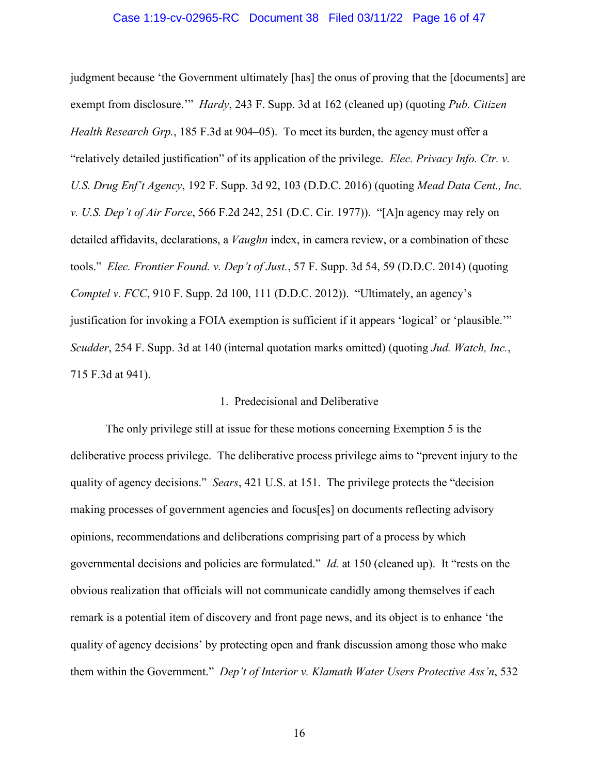### Case 1:19-cv-02965-RC Document 38 Filed 03/11/22 Page 16 of 47

judgment because 'the Government ultimately [has] the onus of proving that the [documents] are exempt from disclosure.'" *Hardy*, 243 F. Supp. 3d at 162 (cleaned up) (quoting *Pub. Citizen Health Research Grp.*, 185 F.3d at 904–05). To meet its burden, the agency must offer a "relatively detailed justification" of its application of the privilege. *Elec. Privacy Info. Ctr. v. U.S. Drug Enf't Agency*, 192 F. Supp. 3d 92, 103 (D.D.C. 2016) (quoting *Mead Data Cent., Inc. v. U.S. Dep't of Air Force*, 566 F.2d 242, 251 (D.C. Cir. 1977)). "[A]n agency may rely on detailed affidavits, declarations, a *Vaughn* index, in camera review, or a combination of these tools." *Elec. Frontier Found. v. Dep't of Just.*, 57 F. Supp. 3d 54, 59 (D.D.C. 2014) (quoting *Comptel v. FCC*, 910 F. Supp. 2d 100, 111 (D.D.C. 2012)). "Ultimately, an agency's justification for invoking a FOIA exemption is sufficient if it appears 'logical' or 'plausible.'" *Scudder*, 254 F. Supp. 3d at 140 (internal quotation marks omitted) (quoting *Jud. Watch, Inc.*, 715 F.3d at 941).

### 1. Predecisional and Deliberative

The only privilege still at issue for these motions concerning Exemption 5 is the deliberative process privilege. The deliberative process privilege aims to "prevent injury to the quality of agency decisions." *Sears*, 421 U.S. at 151. The privilege protects the "decision making processes of government agencies and focus[es] on documents reflecting advisory opinions, recommendations and deliberations comprising part of a process by which governmental decisions and policies are formulated." *Id.* at 150 (cleaned up). It "rests on the obvious realization that officials will not communicate candidly among themselves if each remark is a potential item of discovery and front page news, and its object is to enhance 'the quality of agency decisions' by protecting open and frank discussion among those who make them within the Government." *Dep't of Interior v. Klamath Water Users Protective Ass'n*, 532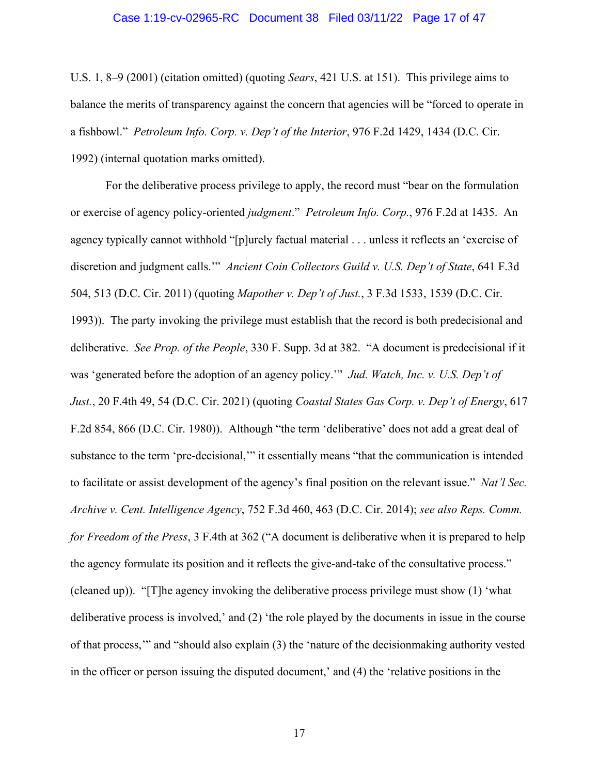### Case 1:19-cv-02965-RC Document 38 Filed 03/11/22 Page 17 of 47

U.S. 1, 8–9 (2001) (citation omitted) (quoting *Sears*, 421 U.S. at 151). This privilege aims to balance the merits of transparency against the concern that agencies will be "forced to operate in a fishbowl." *Petroleum Info. Corp. v. Dep't of the Interior*, 976 F.2d 1429, 1434 (D.C. Cir. 1992) (internal quotation marks omitted).

For the deliberative process privilege to apply, the record must "bear on the formulation or exercise of agency policy-oriented *judgment*." *Petroleum Info. Corp.*, 976 F.2d at 1435. An agency typically cannot withhold "[p]urely factual material . . . unless it reflects an 'exercise of discretion and judgment calls.'" *Ancient Coin Collectors Guild v. U.S. Dep't of State*, 641 F.3d 504, 513 (D.C. Cir. 2011) (quoting *Mapother v. Dep't of Just.*, 3 F.3d 1533, 1539 (D.C. Cir. 1993)). The party invoking the privilege must establish that the record is both predecisional and deliberative. *See Prop. of the People*, 330 F. Supp. 3d at 382. "A document is predecisional if it was 'generated before the adoption of an agency policy.'" *Jud. Watch, Inc. v. U.S. Dep't of Just.*, 20 F.4th 49, 54 (D.C. Cir. 2021) (quoting *Coastal States Gas Corp. v. Dep't of Energy*, 617 F.2d 854, 866 (D.C. Cir. 1980)). Although "the term 'deliberative' does not add a great deal of substance to the term 'pre-decisional,'" it essentially means "that the communication is intended to facilitate or assist development of the agency's final position on the relevant issue." *Nat'l Sec. Archive v. Cent. Intelligence Agency*, 752 F.3d 460, 463 (D.C. Cir. 2014); *see also Reps. Comm. for Freedom of the Press*, 3 F.4th at 362 ("A document is deliberative when it is prepared to help the agency formulate its position and it reflects the give-and-take of the consultative process." (cleaned up)). "[T]he agency invoking the deliberative process privilege must show (1) 'what deliberative process is involved,' and (2) 'the role played by the documents in issue in the course of that process,'" and "should also explain (3) the 'nature of the decisionmaking authority vested in the officer or person issuing the disputed document,' and (4) the 'relative positions in the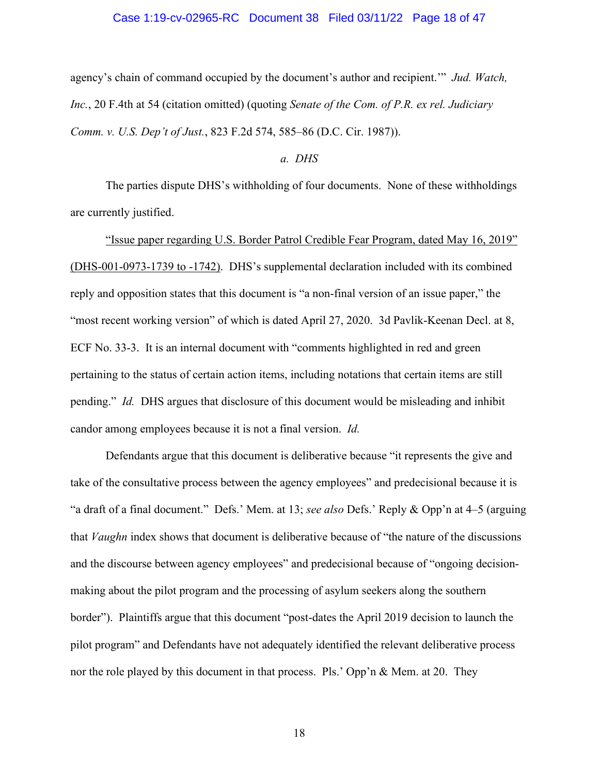### Case 1:19-cv-02965-RC Document 38 Filed 03/11/22 Page 18 of 47

agency's chain of command occupied by the document's author and recipient.'" *Jud. Watch, Inc.*, 20 F.4th at 54 (citation omitted) (quoting *Senate of the Com. of P.R. ex rel. Judiciary Comm. v. U.S. Dep't of Just.*, 823 F.2d 574, 585–86 (D.C. Cir. 1987)).

### *a. DHS*

The parties dispute DHS's withholding of four documents. None of these withholdings are currently justified.

"Issue paper regarding U.S. Border Patrol Credible Fear Program, dated May 16, 2019" (DHS-001-0973-1739 to -1742). DHS's supplemental declaration included with its combined reply and opposition states that this document is "a non-final version of an issue paper," the "most recent working version" of which is dated April 27, 2020. 3d Pavlik-Keenan Decl. at 8, ECF No. 33-3. It is an internal document with "comments highlighted in red and green pertaining to the status of certain action items, including notations that certain items are still pending." *Id.* DHS argues that disclosure of this document would be misleading and inhibit candor among employees because it is not a final version. *Id.*

Defendants argue that this document is deliberative because "it represents the give and take of the consultative process between the agency employees" and predecisional because it is "a draft of a final document." Defs.' Mem. at 13; *see also* Defs.' Reply & Opp'n at 4–5 (arguing that *Vaughn* index shows that document is deliberative because of "the nature of the discussions and the discourse between agency employees" and predecisional because of "ongoing decisionmaking about the pilot program and the processing of asylum seekers along the southern border"). Plaintiffs argue that this document "post-dates the April 2019 decision to launch the pilot program" and Defendants have not adequately identified the relevant deliberative process nor the role played by this document in that process. Pls.' Opp'n & Mem. at 20. They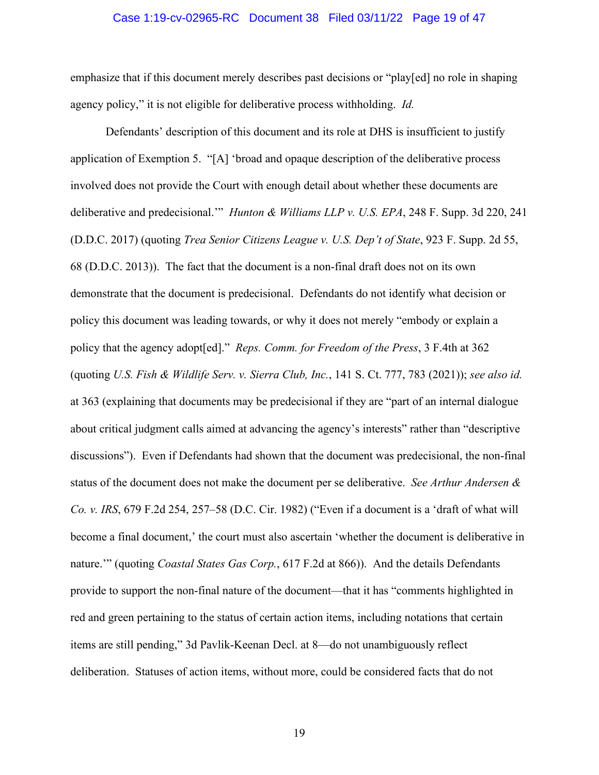### Case 1:19-cv-02965-RC Document 38 Filed 03/11/22 Page 19 of 47

emphasize that if this document merely describes past decisions or "play[ed] no role in shaping agency policy," it is not eligible for deliberative process withholding. *Id.*

Defendants' description of this document and its role at DHS is insufficient to justify application of Exemption 5. "[A] 'broad and opaque description of the deliberative process involved does not provide the Court with enough detail about whether these documents are deliberative and predecisional.'" *Hunton & Williams LLP v. U.S. EPA*, 248 F. Supp. 3d 220, 241 (D.D.C. 2017) (quoting *Trea Senior Citizens League v. U.S. Dep't of State*, 923 F. Supp. 2d 55, 68 (D.D.C. 2013)). The fact that the document is a non-final draft does not on its own demonstrate that the document is predecisional. Defendants do not identify what decision or policy this document was leading towards, or why it does not merely "embody or explain a policy that the agency adopt[ed]." *Reps. Comm. for Freedom of the Press*, 3 F.4th at 362 (quoting *U.S. Fish & Wildlife Serv. v. Sierra Club, Inc.*, 141 S. Ct. 777, 783 (2021)); *see also id.* at 363 (explaining that documents may be predecisional if they are "part of an internal dialogue about critical judgment calls aimed at advancing the agency's interests" rather than "descriptive discussions"). Even if Defendants had shown that the document was predecisional, the non-final status of the document does not make the document per se deliberative. *See Arthur Andersen & Co. v. IRS*, 679 F.2d 254, 257–58 (D.C. Cir. 1982) ("Even if a document is a 'draft of what will become a final document,' the court must also ascertain 'whether the document is deliberative in nature.'" (quoting *Coastal States Gas Corp.*, 617 F.2d at 866)). And the details Defendants provide to support the non-final nature of the document—that it has "comments highlighted in red and green pertaining to the status of certain action items, including notations that certain items are still pending," 3d Pavlik-Keenan Decl. at 8—do not unambiguously reflect deliberation. Statuses of action items, without more, could be considered facts that do not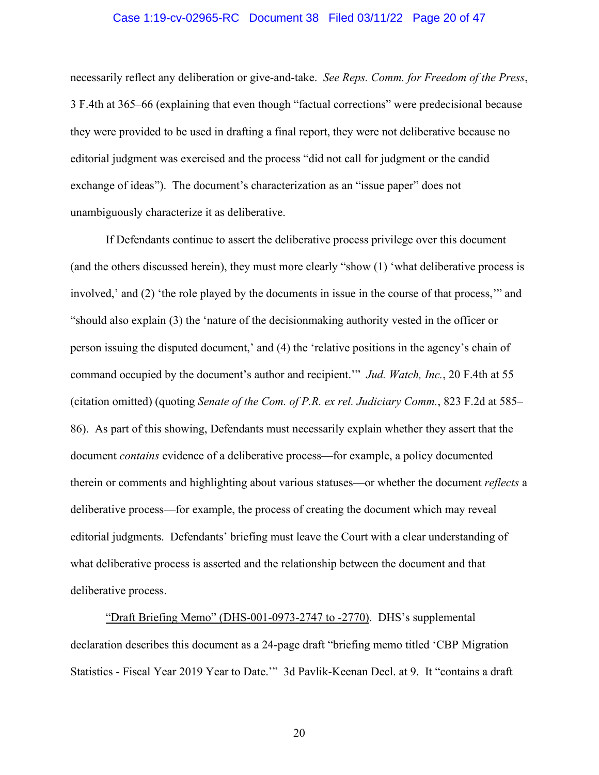### Case 1:19-cv-02965-RC Document 38 Filed 03/11/22 Page 20 of 47

necessarily reflect any deliberation or give-and-take. *See Reps. Comm. for Freedom of the Press*, 3 F.4th at 365–66 (explaining that even though "factual corrections" were predecisional because they were provided to be used in drafting a final report, they were not deliberative because no editorial judgment was exercised and the process "did not call for judgment or the candid exchange of ideas"). The document's characterization as an "issue paper" does not unambiguously characterize it as deliberative.

If Defendants continue to assert the deliberative process privilege over this document (and the others discussed herein), they must more clearly "show (1) 'what deliberative process is involved,' and (2) 'the role played by the documents in issue in the course of that process,'" and "should also explain (3) the 'nature of the decisionmaking authority vested in the officer or person issuing the disputed document,' and (4) the 'relative positions in the agency's chain of command occupied by the document's author and recipient.'" *Jud. Watch, Inc.*, 20 F.4th at 55 (citation omitted) (quoting *Senate of the Com. of P.R. ex rel. Judiciary Comm.*, 823 F.2d at 585– 86). As part of this showing, Defendants must necessarily explain whether they assert that the document *contains* evidence of a deliberative process—for example, a policy documented therein or comments and highlighting about various statuses—or whether the document *reflects* a deliberative process—for example, the process of creating the document which may reveal editorial judgments. Defendants' briefing must leave the Court with a clear understanding of what deliberative process is asserted and the relationship between the document and that deliberative process.

"Draft Briefing Memo" (DHS-001-0973-2747 to -2770). DHS's supplemental declaration describes this document as a 24-page draft "briefing memo titled 'CBP Migration Statistics - Fiscal Year 2019 Year to Date.'" 3d Pavlik-Keenan Decl. at 9. It "contains a draft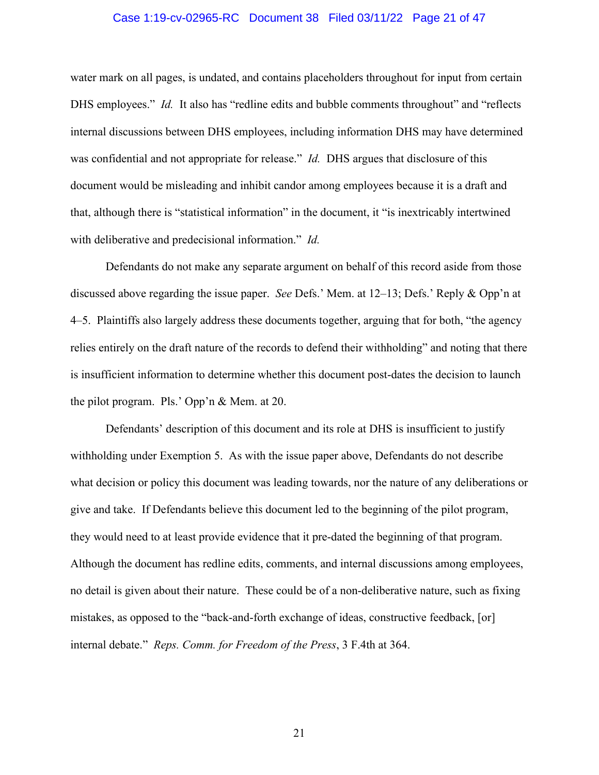### Case 1:19-cv-02965-RC Document 38 Filed 03/11/22 Page 21 of 47

water mark on all pages, is undated, and contains placeholders throughout for input from certain DHS employees." *Id.* It also has "redline edits and bubble comments throughout" and "reflects internal discussions between DHS employees, including information DHS may have determined was confidential and not appropriate for release." *Id.* DHS argues that disclosure of this document would be misleading and inhibit candor among employees because it is a draft and that, although there is "statistical information" in the document, it "is inextricably intertwined with deliberative and predecisional information." *Id.*

Defendants do not make any separate argument on behalf of this record aside from those discussed above regarding the issue paper. *See* Defs.' Mem. at 12–13; Defs.' Reply & Opp'n at 4–5. Plaintiffs also largely address these documents together, arguing that for both, "the agency relies entirely on the draft nature of the records to defend their withholding" and noting that there is insufficient information to determine whether this document post-dates the decision to launch the pilot program. Pls.' Opp'n & Mem. at 20.

Defendants' description of this document and its role at DHS is insufficient to justify withholding under Exemption 5. As with the issue paper above, Defendants do not describe what decision or policy this document was leading towards, nor the nature of any deliberations or give and take. If Defendants believe this document led to the beginning of the pilot program, they would need to at least provide evidence that it pre-dated the beginning of that program. Although the document has redline edits, comments, and internal discussions among employees, no detail is given about their nature. These could be of a non-deliberative nature, such as fixing mistakes, as opposed to the "back-and-forth exchange of ideas, constructive feedback, [or] internal debate." *Reps. Comm. for Freedom of the Press*, 3 F.4th at 364.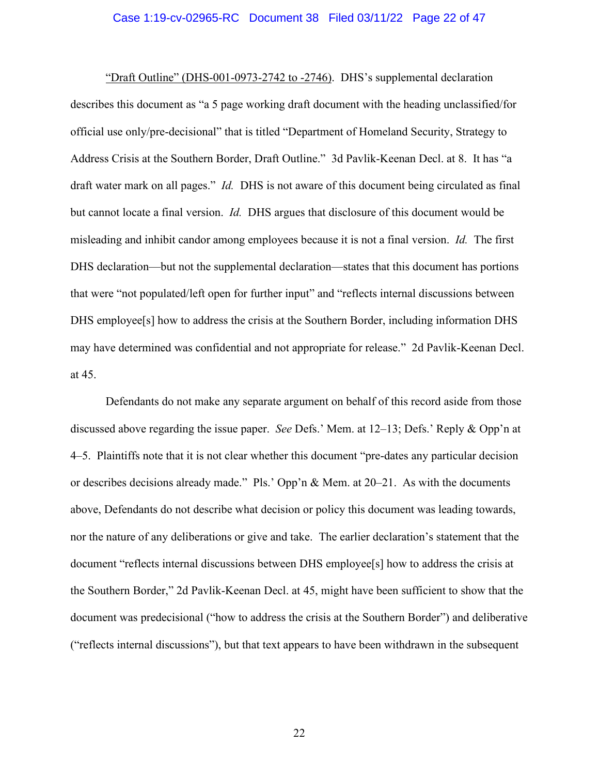### Case 1:19-cv-02965-RC Document 38 Filed 03/11/22 Page 22 of 47

"Draft Outline" (DHS-001-0973-2742 to -2746). DHS's supplemental declaration describes this document as "a 5 page working draft document with the heading unclassified/for official use only/pre-decisional" that is titled "Department of Homeland Security, Strategy to Address Crisis at the Southern Border, Draft Outline." 3d Pavlik-Keenan Decl. at 8. It has "a draft water mark on all pages." *Id.* DHS is not aware of this document being circulated as final but cannot locate a final version. *Id.* DHS argues that disclosure of this document would be misleading and inhibit candor among employees because it is not a final version. *Id.* The first DHS declaration—but not the supplemental declaration—states that this document has portions that were "not populated/left open for further input" and "reflects internal discussions between DHS employee[s] how to address the crisis at the Southern Border, including information DHS may have determined was confidential and not appropriate for release." 2d Pavlik-Keenan Decl. at 45.

Defendants do not make any separate argument on behalf of this record aside from those discussed above regarding the issue paper. *See* Defs.' Mem. at 12–13; Defs.' Reply & Opp'n at 4–5. Plaintiffs note that it is not clear whether this document "pre-dates any particular decision or describes decisions already made." Pls.' Opp'n & Mem. at 20–21. As with the documents above, Defendants do not describe what decision or policy this document was leading towards, nor the nature of any deliberations or give and take. The earlier declaration's statement that the document "reflects internal discussions between DHS employee[s] how to address the crisis at the Southern Border," 2d Pavlik-Keenan Decl. at 45, might have been sufficient to show that the document was predecisional ("how to address the crisis at the Southern Border") and deliberative ("reflects internal discussions"), but that text appears to have been withdrawn in the subsequent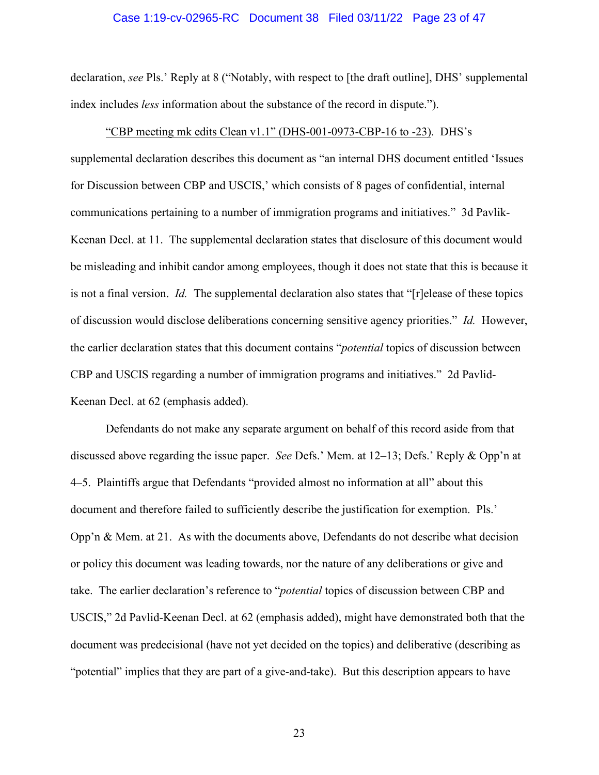### Case 1:19-cv-02965-RC Document 38 Filed 03/11/22 Page 23 of 47

declaration, *see* Pls.' Reply at 8 ("Notably, with respect to [the draft outline], DHS' supplemental index includes *less* information about the substance of the record in dispute.").

"CBP meeting mk edits Clean v1.1" (DHS-001-0973-CBP-16 to -23). DHS's supplemental declaration describes this document as "an internal DHS document entitled 'Issues for Discussion between CBP and USCIS,' which consists of 8 pages of confidential, internal communications pertaining to a number of immigration programs and initiatives." 3d Pavlik-Keenan Decl. at 11. The supplemental declaration states that disclosure of this document would be misleading and inhibit candor among employees, though it does not state that this is because it is not a final version. *Id.* The supplemental declaration also states that "[r]elease of these topics of discussion would disclose deliberations concerning sensitive agency priorities." *Id.* However, the earlier declaration states that this document contains "*potential* topics of discussion between CBP and USCIS regarding a number of immigration programs and initiatives." 2d Pavlid-Keenan Decl. at 62 (emphasis added).

Defendants do not make any separate argument on behalf of this record aside from that discussed above regarding the issue paper. *See* Defs.' Mem. at 12–13; Defs.' Reply & Opp'n at 4–5. Plaintiffs argue that Defendants "provided almost no information at all" about this document and therefore failed to sufficiently describe the justification for exemption. Pls.' Opp'n & Mem. at 21. As with the documents above, Defendants do not describe what decision or policy this document was leading towards, nor the nature of any deliberations or give and take. The earlier declaration's reference to "*potential* topics of discussion between CBP and USCIS," 2d Pavlid-Keenan Decl. at 62 (emphasis added), might have demonstrated both that the document was predecisional (have not yet decided on the topics) and deliberative (describing as "potential" implies that they are part of a give-and-take). But this description appears to have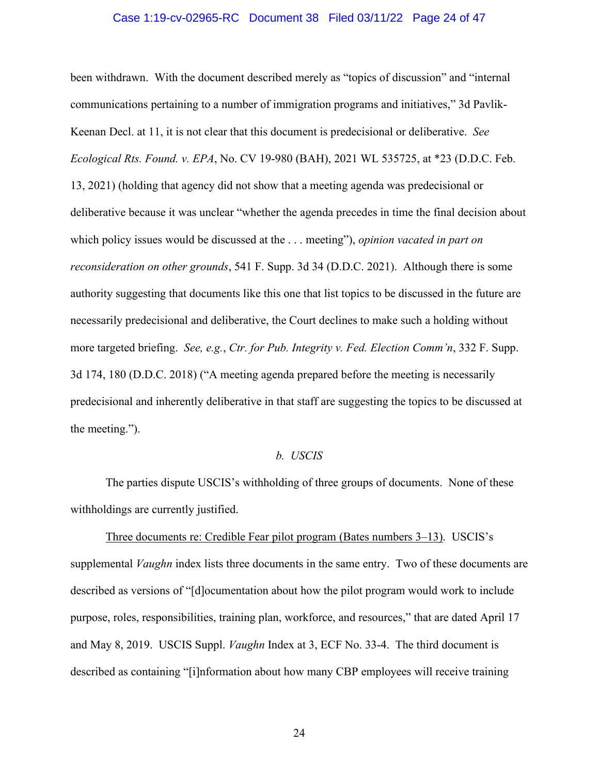### Case 1:19-cv-02965-RC Document 38 Filed 03/11/22 Page 24 of 47

been withdrawn. With the document described merely as "topics of discussion" and "internal communications pertaining to a number of immigration programs and initiatives," 3d Pavlik-Keenan Decl. at 11, it is not clear that this document is predecisional or deliberative. *See Ecological Rts. Found. v. EPA*, No. CV 19-980 (BAH), 2021 WL 535725, at \*23 (D.D.C. Feb. 13, 2021) (holding that agency did not show that a meeting agenda was predecisional or deliberative because it was unclear "whether the agenda precedes in time the final decision about which policy issues would be discussed at the . . . meeting"), *opinion vacated in part on reconsideration on other grounds*, 541 F. Supp. 3d 34 (D.D.C. 2021). Although there is some authority suggesting that documents like this one that list topics to be discussed in the future are necessarily predecisional and deliberative, the Court declines to make such a holding without more targeted briefing. *See, e.g.*, *Ctr. for Pub. Integrity v. Fed. Election Comm'n*, 332 F. Supp. 3d 174, 180 (D.D.C. 2018) ("A meeting agenda prepared before the meeting is necessarily predecisional and inherently deliberative in that staff are suggesting the topics to be discussed at the meeting.").

#### *b. USCIS*

The parties dispute USCIS's withholding of three groups of documents. None of these withholdings are currently justified.

Three documents re: Credible Fear pilot program (Bates numbers 3–13). USCIS's supplemental *Vaughn* index lists three documents in the same entry. Two of these documents are described as versions of "[d]ocumentation about how the pilot program would work to include purpose, roles, responsibilities, training plan, workforce, and resources," that are dated April 17 and May 8, 2019. USCIS Suppl. *Vaughn* Index at 3, ECF No. 33-4. The third document is described as containing "[i]nformation about how many CBP employees will receive training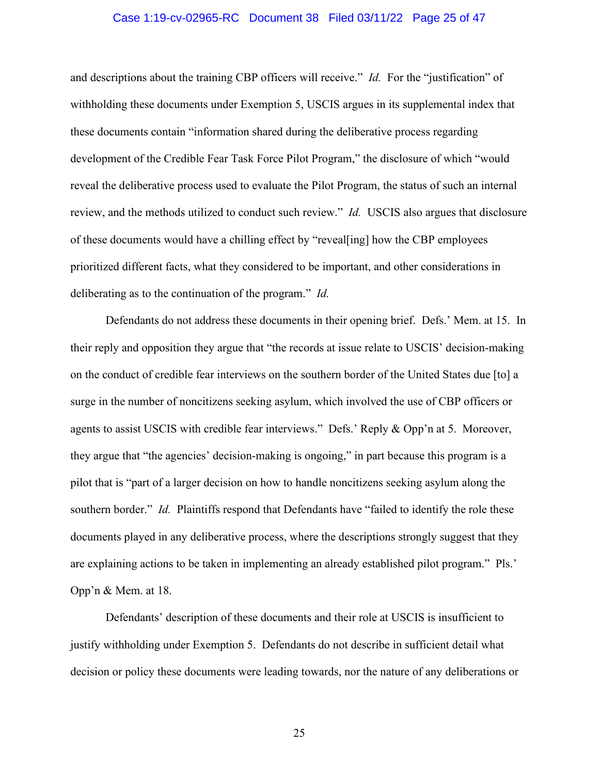### Case 1:19-cv-02965-RC Document 38 Filed 03/11/22 Page 25 of 47

and descriptions about the training CBP officers will receive." *Id.* For the "justification" of withholding these documents under Exemption 5, USCIS argues in its supplemental index that these documents contain "information shared during the deliberative process regarding development of the Credible Fear Task Force Pilot Program," the disclosure of which "would reveal the deliberative process used to evaluate the Pilot Program, the status of such an internal review, and the methods utilized to conduct such review." *Id.* USCIS also argues that disclosure of these documents would have a chilling effect by "reveal[ing] how the CBP employees prioritized different facts, what they considered to be important, and other considerations in deliberating as to the continuation of the program." *Id.*

Defendants do not address these documents in their opening brief. Defs.' Mem. at 15. In their reply and opposition they argue that "the records at issue relate to USCIS' decision-making on the conduct of credible fear interviews on the southern border of the United States due [to] a surge in the number of noncitizens seeking asylum, which involved the use of CBP officers or agents to assist USCIS with credible fear interviews." Defs.' Reply & Opp'n at 5. Moreover, they argue that "the agencies' decision-making is ongoing," in part because this program is a pilot that is "part of a larger decision on how to handle noncitizens seeking asylum along the southern border." *Id.* Plaintiffs respond that Defendants have "failed to identify the role these documents played in any deliberative process, where the descriptions strongly suggest that they are explaining actions to be taken in implementing an already established pilot program." Pls.' Opp'n & Mem. at 18.

Defendants' description of these documents and their role at USCIS is insufficient to justify withholding under Exemption 5. Defendants do not describe in sufficient detail what decision or policy these documents were leading towards, nor the nature of any deliberations or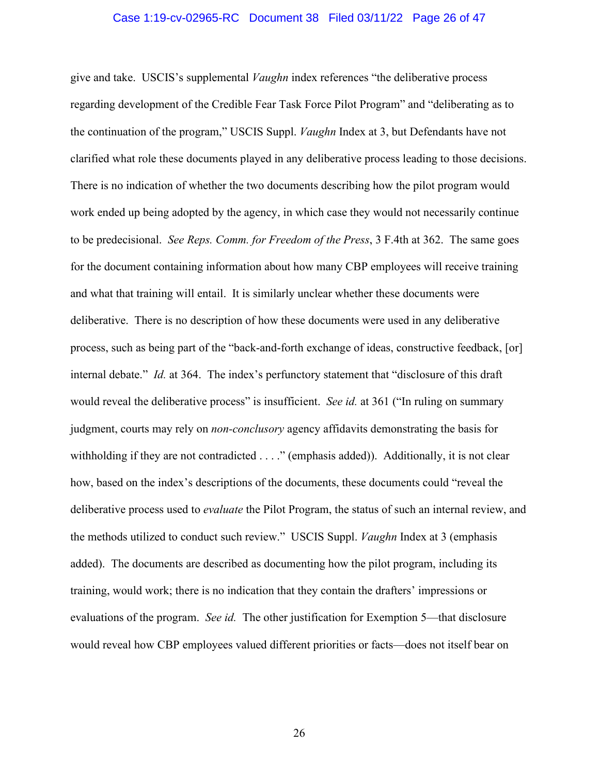### Case 1:19-cv-02965-RC Document 38 Filed 03/11/22 Page 26 of 47

give and take. USCIS's supplemental *Vaughn* index references "the deliberative process regarding development of the Credible Fear Task Force Pilot Program" and "deliberating as to the continuation of the program," USCIS Suppl. *Vaughn* Index at 3, but Defendants have not clarified what role these documents played in any deliberative process leading to those decisions. There is no indication of whether the two documents describing how the pilot program would work ended up being adopted by the agency, in which case they would not necessarily continue to be predecisional. *See Reps. Comm. for Freedom of the Press*, 3 F.4th at 362. The same goes for the document containing information about how many CBP employees will receive training and what that training will entail. It is similarly unclear whether these documents were deliberative. There is no description of how these documents were used in any deliberative process, such as being part of the "back-and-forth exchange of ideas, constructive feedback, [or] internal debate." *Id.* at 364. The index's perfunctory statement that "disclosure of this draft would reveal the deliberative process" is insufficient. *See id.* at 361 ("In ruling on summary judgment, courts may rely on *non-conclusory* agency affidavits demonstrating the basis for withholding if they are not contradicted . . . ." (emphasis added)). Additionally, it is not clear how, based on the index's descriptions of the documents, these documents could "reveal the deliberative process used to *evaluate* the Pilot Program, the status of such an internal review, and the methods utilized to conduct such review." USCIS Suppl. *Vaughn* Index at 3 (emphasis added). The documents are described as documenting how the pilot program, including its training, would work; there is no indication that they contain the drafters' impressions or evaluations of the program. *See id.* The other justification for Exemption 5—that disclosure would reveal how CBP employees valued different priorities or facts—does not itself bear on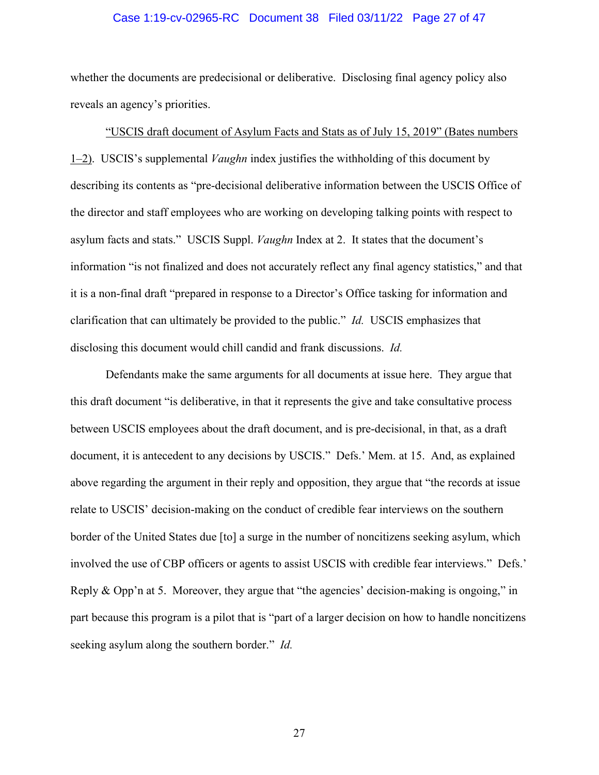### Case 1:19-cv-02965-RC Document 38 Filed 03/11/22 Page 27 of 47

whether the documents are predecisional or deliberative. Disclosing final agency policy also reveals an agency's priorities.

"USCIS draft document of Asylum Facts and Stats as of July 15, 2019" (Bates numbers 1–2). USCIS's supplemental *Vaughn* index justifies the withholding of this document by describing its contents as "pre-decisional deliberative information between the USCIS Office of the director and staff employees who are working on developing talking points with respect to asylum facts and stats." USCIS Suppl. *Vaughn* Index at 2. It states that the document's information "is not finalized and does not accurately reflect any final agency statistics," and that it is a non-final draft "prepared in response to a Director's Office tasking for information and clarification that can ultimately be provided to the public." *Id.* USCIS emphasizes that disclosing this document would chill candid and frank discussions. *Id.*

Defendants make the same arguments for all documents at issue here. They argue that this draft document "is deliberative, in that it represents the give and take consultative process between USCIS employees about the draft document, and is pre-decisional, in that, as a draft document, it is antecedent to any decisions by USCIS." Defs.' Mem. at 15. And, as explained above regarding the argument in their reply and opposition, they argue that "the records at issue relate to USCIS' decision-making on the conduct of credible fear interviews on the southern border of the United States due [to] a surge in the number of noncitizens seeking asylum, which involved the use of CBP officers or agents to assist USCIS with credible fear interviews." Defs.' Reply & Opp'n at 5. Moreover, they argue that "the agencies' decision-making is ongoing," in part because this program is a pilot that is "part of a larger decision on how to handle noncitizens seeking asylum along the southern border." *Id.*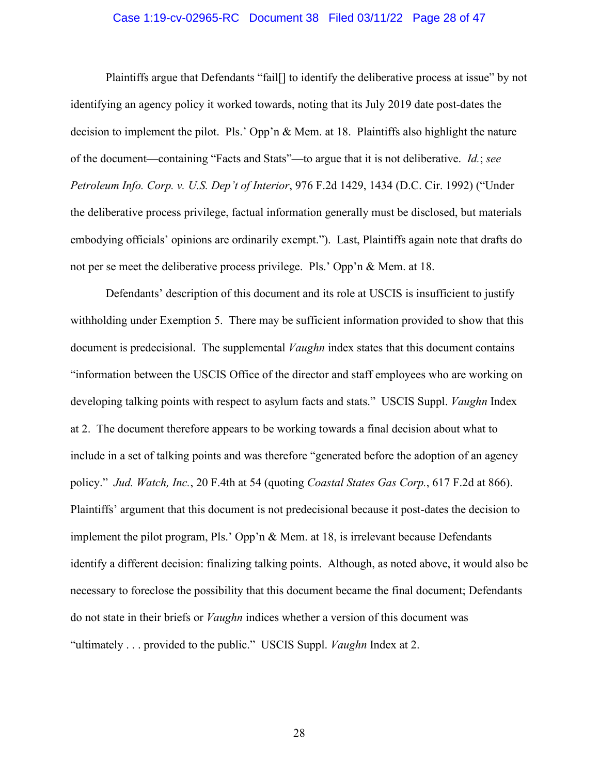### Case 1:19-cv-02965-RC Document 38 Filed 03/11/22 Page 28 of 47

Plaintiffs argue that Defendants "fail[] to identify the deliberative process at issue" by not identifying an agency policy it worked towards, noting that its July 2019 date post-dates the decision to implement the pilot. Pls.' Opp'n & Mem. at 18. Plaintiffs also highlight the nature of the document—containing "Facts and Stats"—to argue that it is not deliberative. *Id.*; *see Petroleum Info. Corp. v. U.S. Dep't of Interior*, 976 F.2d 1429, 1434 (D.C. Cir. 1992) ("Under the deliberative process privilege, factual information generally must be disclosed, but materials embodying officials' opinions are ordinarily exempt."). Last, Plaintiffs again note that drafts do not per se meet the deliberative process privilege. Pls.' Opp'n & Mem. at 18.

Defendants' description of this document and its role at USCIS is insufficient to justify withholding under Exemption 5. There may be sufficient information provided to show that this document is predecisional. The supplemental *Vaughn* index states that this document contains "information between the USCIS Office of the director and staff employees who are working on developing talking points with respect to asylum facts and stats." USCIS Suppl. *Vaughn* Index at 2. The document therefore appears to be working towards a final decision about what to include in a set of talking points and was therefore "generated before the adoption of an agency policy." *Jud. Watch, Inc.*, 20 F.4th at 54 (quoting *Coastal States Gas Corp.*, 617 F.2d at 866). Plaintiffs' argument that this document is not predecisional because it post-dates the decision to implement the pilot program, Pls.' Opp'n & Mem. at 18, is irrelevant because Defendants identify a different decision: finalizing talking points. Although, as noted above, it would also be necessary to foreclose the possibility that this document became the final document; Defendants do not state in their briefs or *Vaughn* indices whether a version of this document was "ultimately . . . provided to the public." USCIS Suppl. *Vaughn* Index at 2.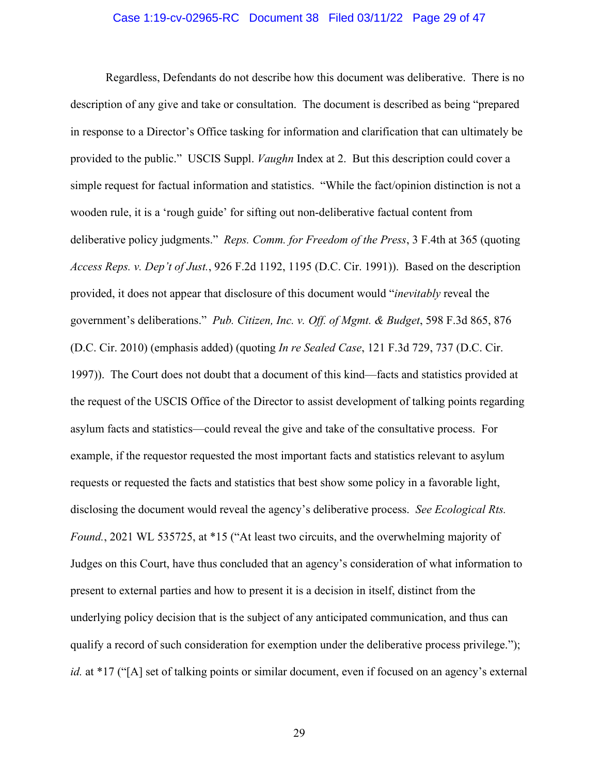### Case 1:19-cv-02965-RC Document 38 Filed 03/11/22 Page 29 of 47

Regardless, Defendants do not describe how this document was deliberative. There is no description of any give and take or consultation. The document is described as being "prepared in response to a Director's Office tasking for information and clarification that can ultimately be provided to the public." USCIS Suppl. *Vaughn* Index at 2. But this description could cover a simple request for factual information and statistics. "While the fact/opinion distinction is not a wooden rule, it is a 'rough guide' for sifting out non-deliberative factual content from deliberative policy judgments." *Reps. Comm. for Freedom of the Press*, 3 F.4th at 365 (quoting *Access Reps. v. Dep't of Just.*, 926 F.2d 1192, 1195 (D.C. Cir. 1991)). Based on the description provided, it does not appear that disclosure of this document would "*inevitably* reveal the government's deliberations." *Pub. Citizen, Inc. v. Off. of Mgmt. & Budget*, 598 F.3d 865, 876 (D.C. Cir. 2010) (emphasis added) (quoting *In re Sealed Case*, 121 F.3d 729, 737 (D.C. Cir. 1997)). The Court does not doubt that a document of this kind—facts and statistics provided at the request of the USCIS Office of the Director to assist development of talking points regarding asylum facts and statistics—could reveal the give and take of the consultative process. For example, if the requestor requested the most important facts and statistics relevant to asylum requests or requested the facts and statistics that best show some policy in a favorable light, disclosing the document would reveal the agency's deliberative process. *See Ecological Rts. Found.*, 2021 WL 535725, at \*15 ("At least two circuits, and the overwhelming majority of Judges on this Court, have thus concluded that an agency's consideration of what information to present to external parties and how to present it is a decision in itself, distinct from the underlying policy decision that is the subject of any anticipated communication, and thus can qualify a record of such consideration for exemption under the deliberative process privilege."); *id.* at \*17 ("[A] set of talking points or similar document, even if focused on an agency's external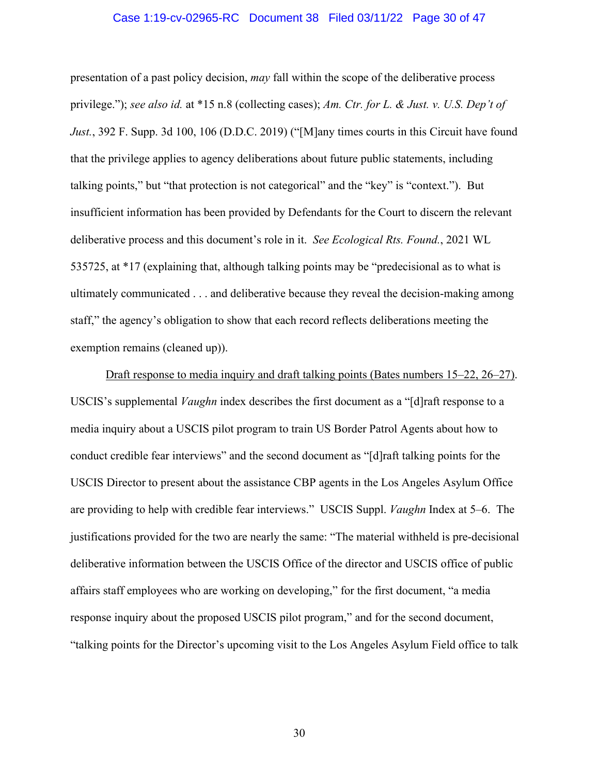### Case 1:19-cv-02965-RC Document 38 Filed 03/11/22 Page 30 of 47

presentation of a past policy decision, *may* fall within the scope of the deliberative process privilege."); *see also id.* at \*15 n.8 (collecting cases); *Am. Ctr. for L. & Just. v. U.S. Dep't of Just.*, 392 F. Supp. 3d 100, 106 (D.D.C. 2019) ("[M]any times courts in this Circuit have found that the privilege applies to agency deliberations about future public statements, including talking points," but "that protection is not categorical" and the "key" is "context."). But insufficient information has been provided by Defendants for the Court to discern the relevant deliberative process and this document's role in it. *See Ecological Rts. Found.*, 2021 WL 535725, at \*17 (explaining that, although talking points may be "predecisional as to what is ultimately communicated . . . and deliberative because they reveal the decision-making among staff," the agency's obligation to show that each record reflects deliberations meeting the exemption remains (cleaned up)).

Draft response to media inquiry and draft talking points (Bates numbers 15–22, 26–27). USCIS's supplemental *Vaughn* index describes the first document as a "[d]raft response to a media inquiry about a USCIS pilot program to train US Border Patrol Agents about how to conduct credible fear interviews" and the second document as "[d]raft talking points for the USCIS Director to present about the assistance CBP agents in the Los Angeles Asylum Office are providing to help with credible fear interviews." USCIS Suppl. *Vaughn* Index at 5–6. The justifications provided for the two are nearly the same: "The material withheld is pre-decisional deliberative information between the USCIS Office of the director and USCIS office of public affairs staff employees who are working on developing," for the first document, "a media response inquiry about the proposed USCIS pilot program," and for the second document, "talking points for the Director's upcoming visit to the Los Angeles Asylum Field office to talk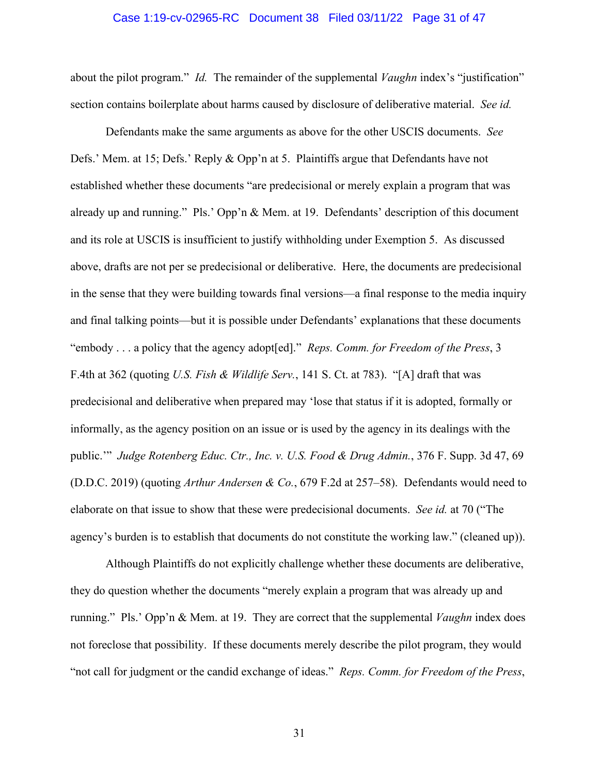### Case 1:19-cv-02965-RC Document 38 Filed 03/11/22 Page 31 of 47

about the pilot program." *Id.* The remainder of the supplemental *Vaughn* index's "justification" section contains boilerplate about harms caused by disclosure of deliberative material. *See id.*

Defendants make the same arguments as above for the other USCIS documents. *See* Defs.' Mem. at 15; Defs.' Reply & Opp'n at 5. Plaintiffs argue that Defendants have not established whether these documents "are predecisional or merely explain a program that was already up and running." Pls.' Opp'n & Mem. at 19. Defendants' description of this document and its role at USCIS is insufficient to justify withholding under Exemption 5. As discussed above, drafts are not per se predecisional or deliberative. Here, the documents are predecisional in the sense that they were building towards final versions—a final response to the media inquiry and final talking points—but it is possible under Defendants' explanations that these documents "embody . . . a policy that the agency adopt[ed]." *Reps. Comm. for Freedom of the Press*, 3 F.4th at 362 (quoting *U.S. Fish & Wildlife Serv.*, 141 S. Ct. at 783). "[A] draft that was predecisional and deliberative when prepared may 'lose that status if it is adopted, formally or informally, as the agency position on an issue or is used by the agency in its dealings with the public.'" *Judge Rotenberg Educ. Ctr., Inc. v. U.S. Food & Drug Admin.*, 376 F. Supp. 3d 47, 69 (D.D.C. 2019) (quoting *Arthur Andersen & Co.*, 679 F.2d at 257–58). Defendants would need to elaborate on that issue to show that these were predecisional documents. *See id.* at 70 ("The agency's burden is to establish that documents do not constitute the working law." (cleaned up)).

Although Plaintiffs do not explicitly challenge whether these documents are deliberative, they do question whether the documents "merely explain a program that was already up and running." Pls.' Opp'n & Mem. at 19. They are correct that the supplemental *Vaughn* index does not foreclose that possibility. If these documents merely describe the pilot program, they would "not call for judgment or the candid exchange of ideas." *Reps. Comm. for Freedom of the Press*,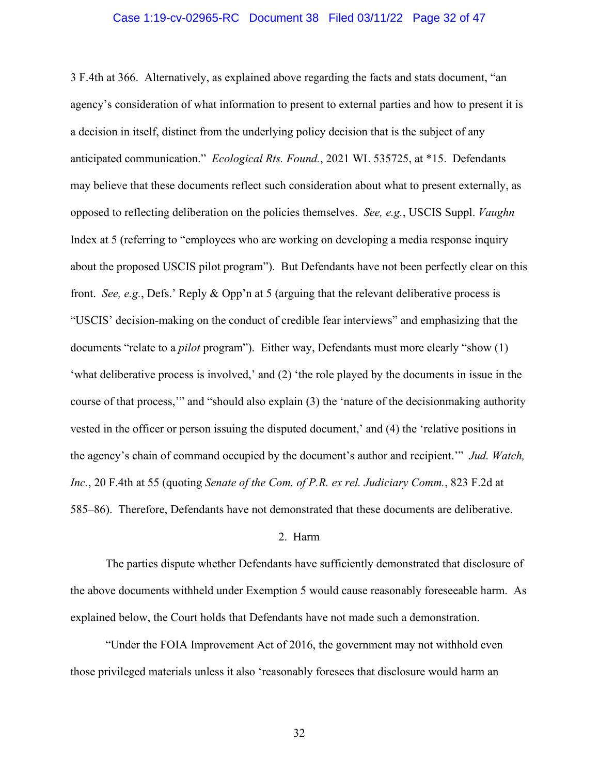### Case 1:19-cv-02965-RC Document 38 Filed 03/11/22 Page 32 of 47

3 F.4th at 366. Alternatively, as explained above regarding the facts and stats document, "an agency's consideration of what information to present to external parties and how to present it is a decision in itself, distinct from the underlying policy decision that is the subject of any anticipated communication." *Ecological Rts. Found.*, 2021 WL 535725, at \*15. Defendants may believe that these documents reflect such consideration about what to present externally, as opposed to reflecting deliberation on the policies themselves. *See, e.g.*, USCIS Suppl. *Vaughn* Index at 5 (referring to "employees who are working on developing a media response inquiry about the proposed USCIS pilot program"). But Defendants have not been perfectly clear on this front. *See, e.g.*, Defs.' Reply & Opp'n at 5 (arguing that the relevant deliberative process is "USCIS' decision-making on the conduct of credible fear interviews" and emphasizing that the documents "relate to a *pilot* program"). Either way, Defendants must more clearly "show (1) 'what deliberative process is involved,' and (2) 'the role played by the documents in issue in the course of that process,'" and "should also explain (3) the 'nature of the decisionmaking authority vested in the officer or person issuing the disputed document,' and (4) the 'relative positions in the agency's chain of command occupied by the document's author and recipient.'" *Jud. Watch, Inc.*, 20 F.4th at 55 (quoting *Senate of the Com. of P.R. ex rel. Judiciary Comm.*, 823 F.2d at 585–86). Therefore, Defendants have not demonstrated that these documents are deliberative.

### 2. Harm

The parties dispute whether Defendants have sufficiently demonstrated that disclosure of the above documents withheld under Exemption 5 would cause reasonably foreseeable harm. As explained below, the Court holds that Defendants have not made such a demonstration.

"Under the FOIA Improvement Act of 2016, the government may not withhold even those privileged materials unless it also 'reasonably foresees that disclosure would harm an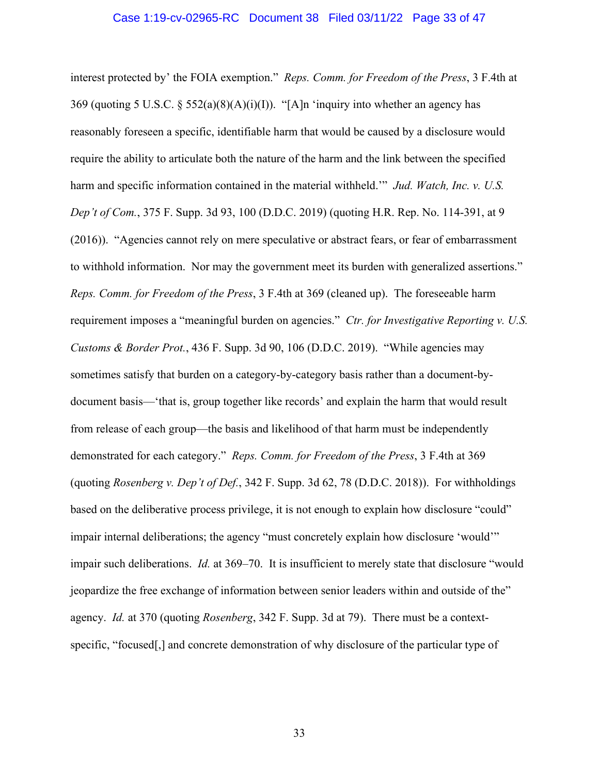### Case 1:19-cv-02965-RC Document 38 Filed 03/11/22 Page 33 of 47

interest protected by' the FOIA exemption." *Reps. Comm. for Freedom of the Press*, 3 F.4th at 369 (quoting 5 U.S.C. § 552(a)(8)(A)(i)(I)). "[A]n 'inquiry into whether an agency has reasonably foreseen a specific, identifiable harm that would be caused by a disclosure would require the ability to articulate both the nature of the harm and the link between the specified harm and specific information contained in the material withheld.'" *Jud. Watch, Inc. v. U.S. Dep't of Com.*, 375 F. Supp. 3d 93, 100 (D.D.C. 2019) (quoting H.R. Rep. No. 114-391, at 9 (2016)). "Agencies cannot rely on mere speculative or abstract fears, or fear of embarrassment to withhold information. Nor may the government meet its burden with generalized assertions." *Reps. Comm. for Freedom of the Press*, 3 F.4th at 369 (cleaned up). The foreseeable harm requirement imposes a "meaningful burden on agencies." *Ctr. for Investigative Reporting v. U.S. Customs & Border Prot.*, 436 F. Supp. 3d 90, 106 (D.D.C. 2019). "While agencies may sometimes satisfy that burden on a category-by-category basis rather than a document-bydocument basis—'that is, group together like records' and explain the harm that would result from release of each group—the basis and likelihood of that harm must be independently demonstrated for each category." *Reps. Comm. for Freedom of the Press*, 3 F.4th at 369 (quoting *Rosenberg v. Dep't of Def.*, 342 F. Supp. 3d 62, 78 (D.D.C. 2018)). For withholdings based on the deliberative process privilege, it is not enough to explain how disclosure "could" impair internal deliberations; the agency "must concretely explain how disclosure 'would'" impair such deliberations. *Id.* at 369–70. It is insufficient to merely state that disclosure "would jeopardize the free exchange of information between senior leaders within and outside of the" agency. *Id.* at 370 (quoting *Rosenberg*, 342 F. Supp. 3d at 79). There must be a contextspecific, "focused[,] and concrete demonstration of why disclosure of the particular type of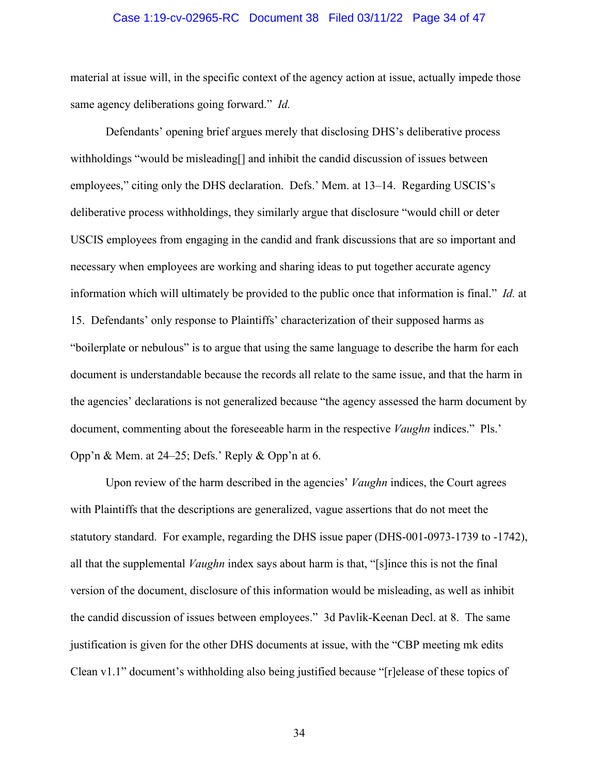### Case 1:19-cv-02965-RC Document 38 Filed 03/11/22 Page 34 of 47

material at issue will, in the specific context of the agency action at issue, actually impede those same agency deliberations going forward." *Id.*

Defendants' opening brief argues merely that disclosing DHS's deliberative process withholdings "would be misleading[] and inhibit the candid discussion of issues between employees," citing only the DHS declaration. Defs.' Mem. at 13–14. Regarding USCIS's deliberative process withholdings, they similarly argue that disclosure "would chill or deter USCIS employees from engaging in the candid and frank discussions that are so important and necessary when employees are working and sharing ideas to put together accurate agency information which will ultimately be provided to the public once that information is final." *Id.* at 15. Defendants' only response to Plaintiffs' characterization of their supposed harms as "boilerplate or nebulous" is to argue that using the same language to describe the harm for each document is understandable because the records all relate to the same issue, and that the harm in the agencies' declarations is not generalized because "the agency assessed the harm document by document, commenting about the foreseeable harm in the respective *Vaughn* indices." Pls.' Opp'n & Mem. at 24–25; Defs.' Reply & Opp'n at 6.

Upon review of the harm described in the agencies' *Vaughn* indices, the Court agrees with Plaintiffs that the descriptions are generalized, vague assertions that do not meet the statutory standard. For example, regarding the DHS issue paper (DHS-001-0973-1739 to -1742), all that the supplemental *Vaughn* index says about harm is that, "[s]ince this is not the final version of the document, disclosure of this information would be misleading, as well as inhibit the candid discussion of issues between employees." 3d Pavlik-Keenan Decl. at 8. The same justification is given for the other DHS documents at issue, with the "CBP meeting mk edits Clean v1.1" document's withholding also being justified because "[r]elease of these topics of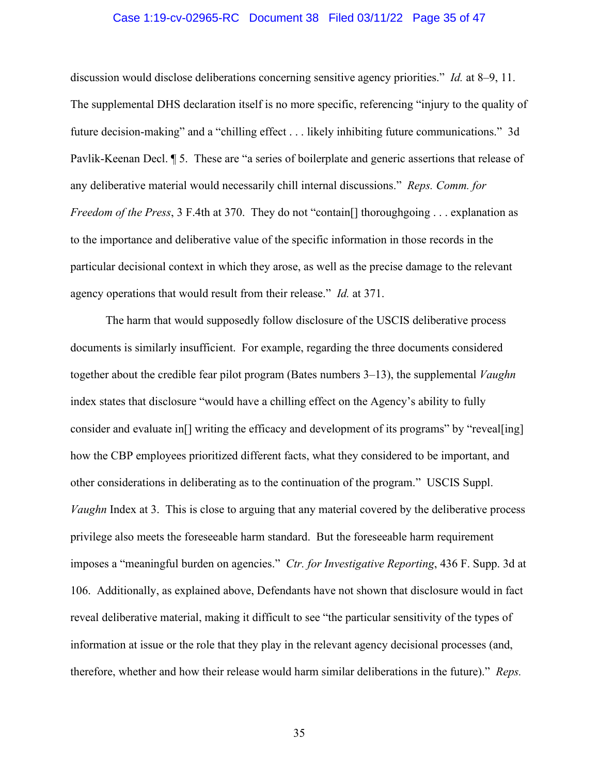### Case 1:19-cv-02965-RC Document 38 Filed 03/11/22 Page 35 of 47

discussion would disclose deliberations concerning sensitive agency priorities." *Id.* at 8–9, 11. The supplemental DHS declaration itself is no more specific, referencing "injury to the quality of future decision-making" and a "chilling effect . . . likely inhibiting future communications." 3d Pavlik-Keenan Decl. ¶ 5. These are "a series of boilerplate and generic assertions that release of any deliberative material would necessarily chill internal discussions." *Reps. Comm. for Freedom of the Press*, 3 F.4th at 370. They do not "contain<sup>[]</sup> thoroughgoing ... explanation as to the importance and deliberative value of the specific information in those records in the particular decisional context in which they arose, as well as the precise damage to the relevant agency operations that would result from their release." *Id.* at 371.

The harm that would supposedly follow disclosure of the USCIS deliberative process documents is similarly insufficient. For example, regarding the three documents considered together about the credible fear pilot program (Bates numbers 3–13), the supplemental *Vaughn* index states that disclosure "would have a chilling effect on the Agency's ability to fully consider and evaluate in<sup>[]</sup> writing the efficacy and development of its programs" by "reveal [ing] how the CBP employees prioritized different facts, what they considered to be important, and other considerations in deliberating as to the continuation of the program." USCIS Suppl. *Vaughn* Index at 3. This is close to arguing that any material covered by the deliberative process privilege also meets the foreseeable harm standard. But the foreseeable harm requirement imposes a "meaningful burden on agencies." *Ctr. for Investigative Reporting*, 436 F. Supp. 3d at 106. Additionally, as explained above, Defendants have not shown that disclosure would in fact reveal deliberative material, making it difficult to see "the particular sensitivity of the types of information at issue or the role that they play in the relevant agency decisional processes (and, therefore, whether and how their release would harm similar deliberations in the future)." *Reps.*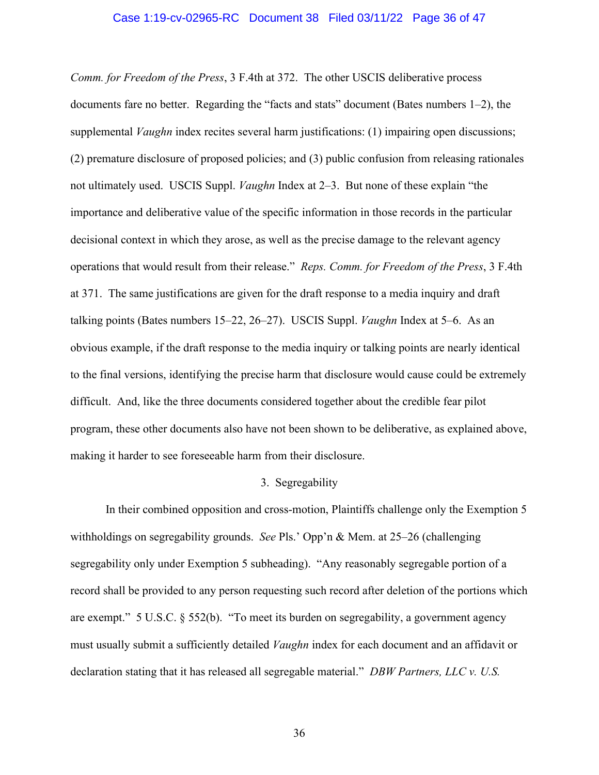### Case 1:19-cv-02965-RC Document 38 Filed 03/11/22 Page 36 of 47

*Comm. for Freedom of the Press*, 3 F.4th at 372. The other USCIS deliberative process documents fare no better. Regarding the "facts and stats" document (Bates numbers 1–2), the supplemental *Vaughn* index recites several harm justifications: (1) impairing open discussions; (2) premature disclosure of proposed policies; and (3) public confusion from releasing rationales not ultimately used. USCIS Suppl. *Vaughn* Index at 2–3. But none of these explain "the importance and deliberative value of the specific information in those records in the particular decisional context in which they arose, as well as the precise damage to the relevant agency operations that would result from their release." *Reps. Comm. for Freedom of the Press*, 3 F.4th at 371. The same justifications are given for the draft response to a media inquiry and draft talking points (Bates numbers 15–22, 26–27). USCIS Suppl. *Vaughn* Index at 5–6. As an obvious example, if the draft response to the media inquiry or talking points are nearly identical to the final versions, identifying the precise harm that disclosure would cause could be extremely difficult. And, like the three documents considered together about the credible fear pilot program, these other documents also have not been shown to be deliberative, as explained above, making it harder to see foreseeable harm from their disclosure.

### 3. Segregability

In their combined opposition and cross-motion, Plaintiffs challenge only the Exemption 5 withholdings on segregability grounds. *See* Pls.' Opp'n & Mem. at 25–26 (challenging segregability only under Exemption 5 subheading). "Any reasonably segregable portion of a record shall be provided to any person requesting such record after deletion of the portions which are exempt." 5 U.S.C. § 552(b). "To meet its burden on segregability, a government agency must usually submit a sufficiently detailed *Vaughn* index for each document and an affidavit or declaration stating that it has released all segregable material." *DBW Partners, LLC v. U.S.*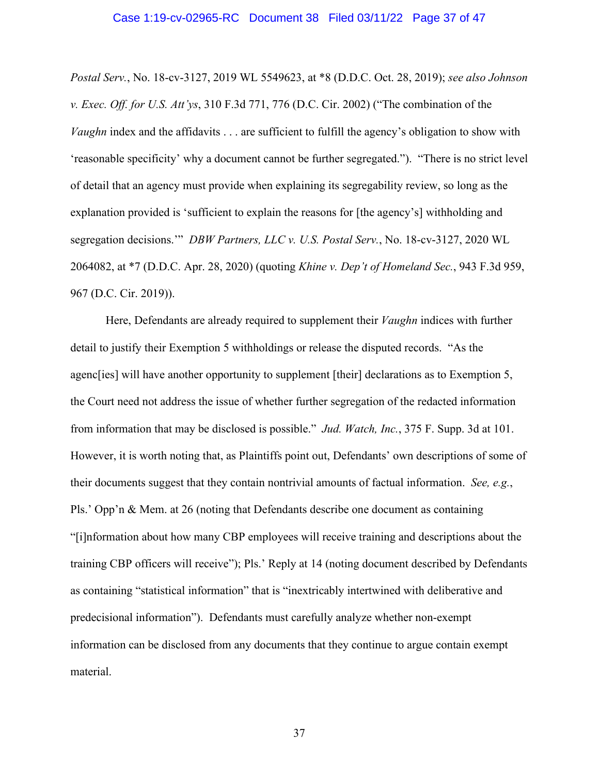### Case 1:19-cv-02965-RC Document 38 Filed 03/11/22 Page 37 of 47

*Postal Serv.*, No. 18-cv-3127, 2019 WL 5549623, at \*8 (D.D.C. Oct. 28, 2019); *see also Johnson v. Exec. Off. for U.S. Att'ys*, 310 F.3d 771, 776 (D.C. Cir. 2002) ("The combination of the *Vaughn* index and the affidavits . . . are sufficient to fulfill the agency's obligation to show with 'reasonable specificity' why a document cannot be further segregated."). "There is no strict level of detail that an agency must provide when explaining its segregability review, so long as the explanation provided is 'sufficient to explain the reasons for [the agency's] withholding and segregation decisions.'" *DBW Partners, LLC v. U.S. Postal Serv.*, No. 18-cv-3127, 2020 WL 2064082, at \*7 (D.D.C. Apr. 28, 2020) (quoting *Khine v. Dep't of Homeland Sec.*, 943 F.3d 959, 967 (D.C. Cir. 2019)).

Here, Defendants are already required to supplement their *Vaughn* indices with further detail to justify their Exemption 5 withholdings or release the disputed records. "As the agenc[ies] will have another opportunity to supplement [their] declarations as to Exemption 5, the Court need not address the issue of whether further segregation of the redacted information from information that may be disclosed is possible." *Jud. Watch, Inc.*, 375 F. Supp. 3d at 101. However, it is worth noting that, as Plaintiffs point out, Defendants' own descriptions of some of their documents suggest that they contain nontrivial amounts of factual information. *See, e.g.*, Pls.' Opp'n & Mem. at 26 (noting that Defendants describe one document as containing "[i]nformation about how many CBP employees will receive training and descriptions about the training CBP officers will receive"); Pls.' Reply at 14 (noting document described by Defendants as containing "statistical information" that is "inextricably intertwined with deliberative and predecisional information"). Defendants must carefully analyze whether non-exempt information can be disclosed from any documents that they continue to argue contain exempt material.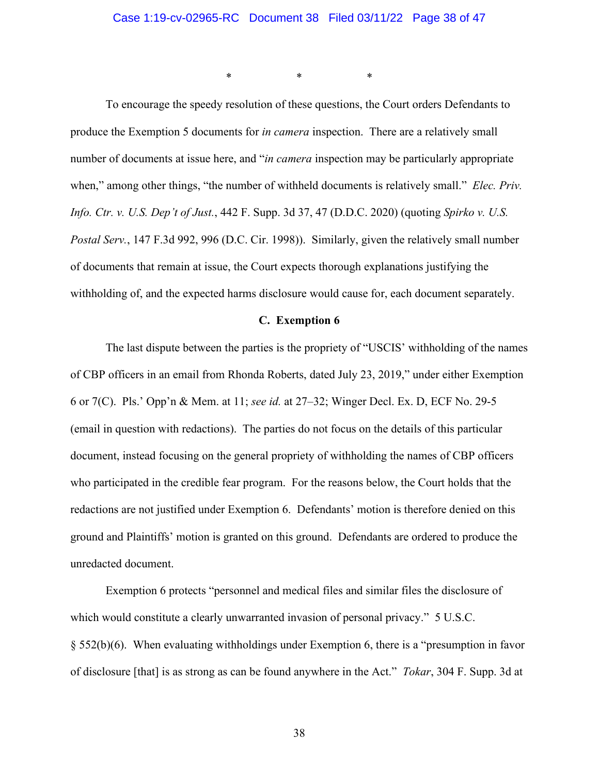\* \* \*

To encourage the speedy resolution of these questions, the Court orders Defendants to produce the Exemption 5 documents for *in camera* inspection. There are a relatively small number of documents at issue here, and "*in camera* inspection may be particularly appropriate when," among other things, "the number of withheld documents is relatively small." *Elec. Priv. Info. Ctr. v. U.S. Dep't of Just.*, 442 F. Supp. 3d 37, 47 (D.D.C. 2020) (quoting *Spirko v. U.S. Postal Serv.*, 147 F.3d 992, 996 (D.C. Cir. 1998)). Similarly, given the relatively small number of documents that remain at issue, the Court expects thorough explanations justifying the withholding of, and the expected harms disclosure would cause for, each document separately.

## **C. Exemption 6**

The last dispute between the parties is the propriety of "USCIS' withholding of the names of CBP officers in an email from Rhonda Roberts, dated July 23, 2019," under either Exemption 6 or 7(C). Pls.' Opp'n & Mem. at 11; *see id.* at 27–32; Winger Decl. Ex. D, ECF No. 29-5 (email in question with redactions). The parties do not focus on the details of this particular document, instead focusing on the general propriety of withholding the names of CBP officers who participated in the credible fear program. For the reasons below, the Court holds that the redactions are not justified under Exemption 6. Defendants' motion is therefore denied on this ground and Plaintiffs' motion is granted on this ground. Defendants are ordered to produce the unredacted document.

Exemption 6 protects "personnel and medical files and similar files the disclosure of which would constitute a clearly unwarranted invasion of personal privacy." 5 U.S.C. § 552(b)(6). When evaluating withholdings under Exemption 6, there is a "presumption in favor of disclosure [that] is as strong as can be found anywhere in the Act." *Tokar*, 304 F. Supp. 3d at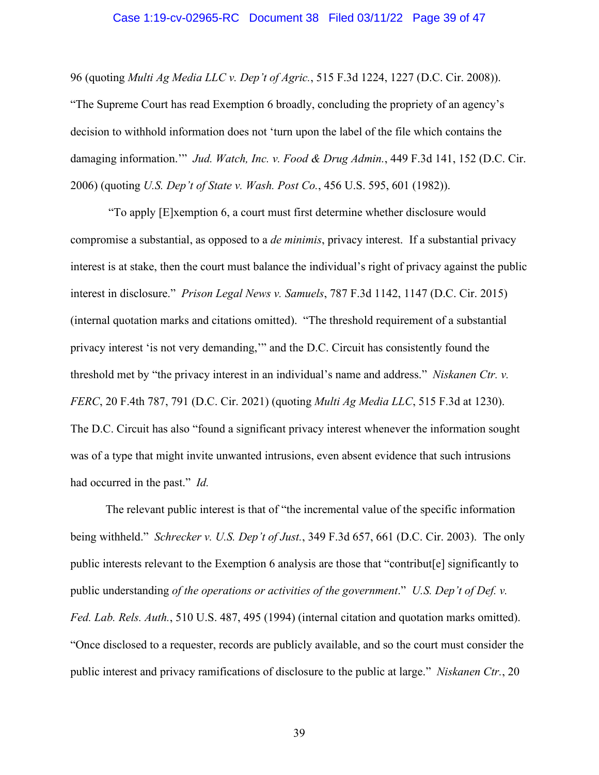### Case 1:19-cv-02965-RC Document 38 Filed 03/11/22 Page 39 of 47

96 (quoting *Multi Ag Media LLC v. Dep't of Agric.*, 515 F.3d 1224, 1227 (D.C. Cir. 2008)). "The Supreme Court has read Exemption 6 broadly, concluding the propriety of an agency's decision to withhold information does not 'turn upon the label of the file which contains the damaging information.'" *Jud. Watch, Inc. v. Food & Drug Admin.*, 449 F.3d 141, 152 (D.C. Cir. 2006) (quoting *U.S. Dep't of State v. Wash. Post Co.*, 456 U.S. 595, 601 (1982)).

 "To apply [E]xemption 6, a court must first determine whether disclosure would compromise a substantial, as opposed to a *de minimis*, privacy interest. If a substantial privacy interest is at stake, then the court must balance the individual's right of privacy against the public interest in disclosure." *Prison Legal News v. Samuels*, 787 F.3d 1142, 1147 (D.C. Cir. 2015) (internal quotation marks and citations omitted). "The threshold requirement of a substantial privacy interest 'is not very demanding,'" and the D.C. Circuit has consistently found the threshold met by "the privacy interest in an individual's name and address." *Niskanen Ctr. v. FERC*, 20 F.4th 787, 791 (D.C. Cir. 2021) (quoting *Multi Ag Media LLC*, 515 F.3d at 1230). The D.C. Circuit has also "found a significant privacy interest whenever the information sought was of a type that might invite unwanted intrusions, even absent evidence that such intrusions had occurred in the past." *Id.*

The relevant public interest is that of "the incremental value of the specific information being withheld." *Schrecker v. U.S. Dep't of Just.*, 349 F.3d 657, 661 (D.C. Cir. 2003). The only public interests relevant to the Exemption 6 analysis are those that "contribut[e] significantly to public understanding *of the operations or activities of the government*." *U.S. Dep't of Def. v. Fed. Lab. Rels. Auth.*, 510 U.S. 487, 495 (1994) (internal citation and quotation marks omitted). "Once disclosed to a requester, records are publicly available, and so the court must consider the public interest and privacy ramifications of disclosure to the public at large." *Niskanen Ctr.*, 20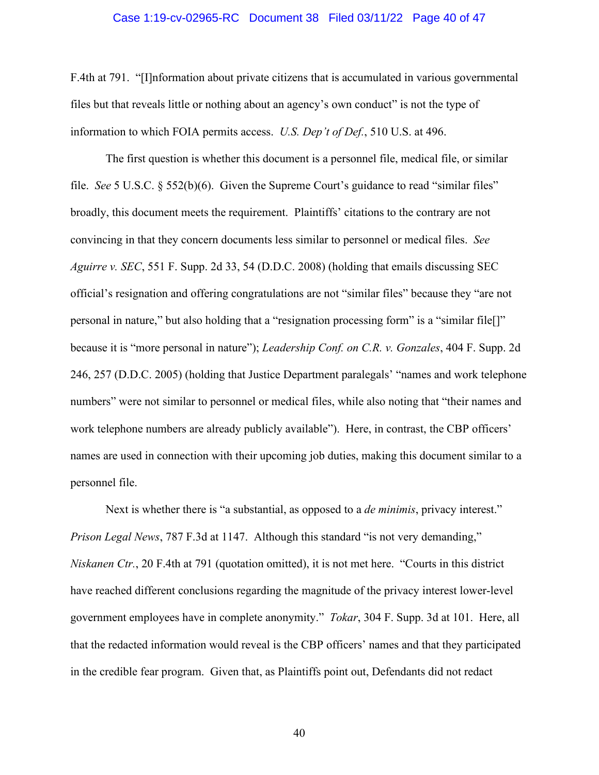### Case 1:19-cv-02965-RC Document 38 Filed 03/11/22 Page 40 of 47

F.4th at 791. "[I]nformation about private citizens that is accumulated in various governmental files but that reveals little or nothing about an agency's own conduct" is not the type of information to which FOIA permits access. *U.S. Dep't of Def.*, 510 U.S. at 496.

The first question is whether this document is a personnel file, medical file, or similar file. *See* 5 U.S.C. § 552(b)(6). Given the Supreme Court's guidance to read "similar files" broadly, this document meets the requirement. Plaintiffs' citations to the contrary are not convincing in that they concern documents less similar to personnel or medical files. *See Aguirre v. SEC*, 551 F. Supp. 2d 33, 54 (D.D.C. 2008) (holding that emails discussing SEC official's resignation and offering congratulations are not "similar files" because they "are not personal in nature," but also holding that a "resignation processing form" is a "similar file[]" because it is "more personal in nature"); *Leadership Conf. on C.R. v. Gonzales*, 404 F. Supp. 2d 246, 257 (D.D.C. 2005) (holding that Justice Department paralegals' "names and work telephone numbers" were not similar to personnel or medical files, while also noting that "their names and work telephone numbers are already publicly available"). Here, in contrast, the CBP officers' names are used in connection with their upcoming job duties, making this document similar to a personnel file.

Next is whether there is "a substantial, as opposed to a *de minimis*, privacy interest." *Prison Legal News, 787 F.3d at 1147. Although this standard "is not very demanding," Niskanen Ctr.*, 20 F.4th at 791 (quotation omitted), it is not met here. "Courts in this district have reached different conclusions regarding the magnitude of the privacy interest lower-level government employees have in complete anonymity." *Tokar*, 304 F. Supp. 3d at 101. Here, all that the redacted information would reveal is the CBP officers' names and that they participated in the credible fear program. Given that, as Plaintiffs point out, Defendants did not redact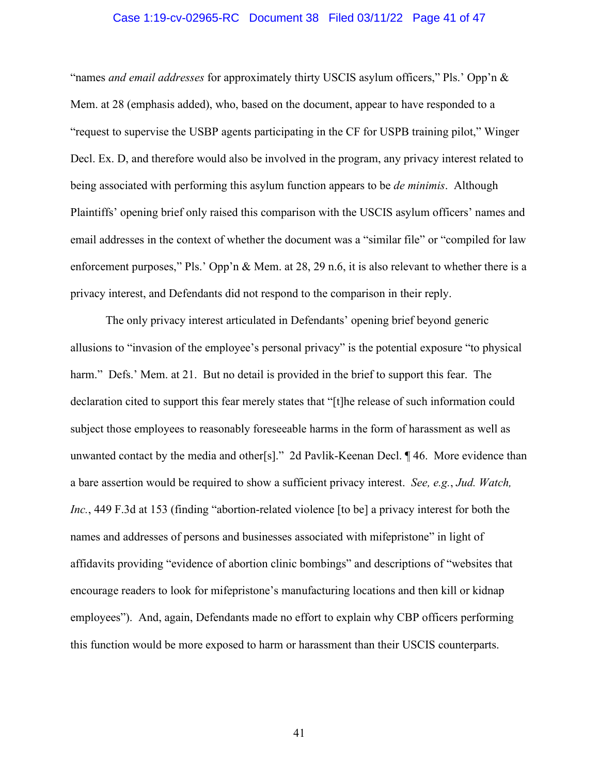### Case 1:19-cv-02965-RC Document 38 Filed 03/11/22 Page 41 of 47

"names *and email addresses* for approximately thirty USCIS asylum officers," Pls.' Opp'n & Mem. at 28 (emphasis added), who, based on the document, appear to have responded to a "request to supervise the USBP agents participating in the CF for USPB training pilot," Winger Decl. Ex. D, and therefore would also be involved in the program, any privacy interest related to being associated with performing this asylum function appears to be *de minimis*. Although Plaintiffs' opening brief only raised this comparison with the USCIS asylum officers' names and email addresses in the context of whether the document was a "similar file" or "compiled for law enforcement purposes," Pls.' Opp'n & Mem. at 28, 29 n.6, it is also relevant to whether there is a privacy interest, and Defendants did not respond to the comparison in their reply.

The only privacy interest articulated in Defendants' opening brief beyond generic allusions to "invasion of the employee's personal privacy" is the potential exposure "to physical harm." Defs.' Mem. at 21. But no detail is provided in the brief to support this fear. The declaration cited to support this fear merely states that "[t]he release of such information could subject those employees to reasonably foreseeable harms in the form of harassment as well as unwanted contact by the media and other[s]." 2d Pavlik-Keenan Decl. ¶ 46. More evidence than a bare assertion would be required to show a sufficient privacy interest. *See, e.g.*, *Jud. Watch, Inc.*, 449 F.3d at 153 (finding "abortion-related violence [to be] a privacy interest for both the names and addresses of persons and businesses associated with mifepristone" in light of affidavits providing "evidence of abortion clinic bombings" and descriptions of "websites that encourage readers to look for mifepristone's manufacturing locations and then kill or kidnap employees"). And, again, Defendants made no effort to explain why CBP officers performing this function would be more exposed to harm or harassment than their USCIS counterparts.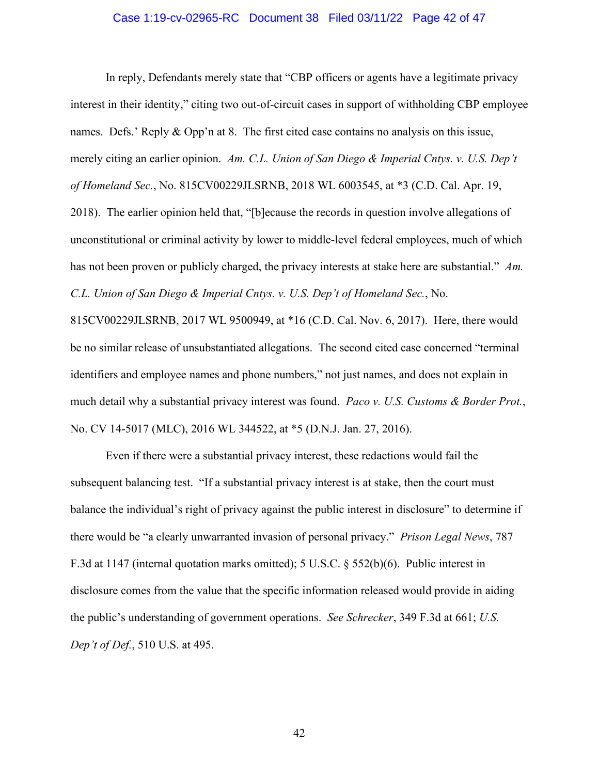### Case 1:19-cv-02965-RC Document 38 Filed 03/11/22 Page 42 of 47

In reply, Defendants merely state that "CBP officers or agents have a legitimate privacy interest in their identity," citing two out-of-circuit cases in support of withholding CBP employee names. Defs.' Reply & Opp'n at 8. The first cited case contains no analysis on this issue, merely citing an earlier opinion. *Am. C.L. Union of San Diego & Imperial Cntys. v. U.S. Dep't of Homeland Sec.*, No. 815CV00229JLSRNB, 2018 WL 6003545, at \*3 (C.D. Cal. Apr. 19, 2018). The earlier opinion held that, "[b]ecause the records in question involve allegations of unconstitutional or criminal activity by lower to middle-level federal employees, much of which has not been proven or publicly charged, the privacy interests at stake here are substantial." *Am. C.L. Union of San Diego & Imperial Cntys. v. U.S. Dep't of Homeland Sec.*, No.

815CV00229JLSRNB, 2017 WL 9500949, at \*16 (C.D. Cal. Nov. 6, 2017). Here, there would be no similar release of unsubstantiated allegations. The second cited case concerned "terminal identifiers and employee names and phone numbers," not just names, and does not explain in much detail why a substantial privacy interest was found. *Paco v. U.S. Customs & Border Prot.*, No. CV 14-5017 (MLC), 2016 WL 344522, at \*5 (D.N.J. Jan. 27, 2016).

Even if there were a substantial privacy interest, these redactions would fail the subsequent balancing test. "If a substantial privacy interest is at stake, then the court must balance the individual's right of privacy against the public interest in disclosure" to determine if there would be "a clearly unwarranted invasion of personal privacy." *Prison Legal News*, 787 F.3d at 1147 (internal quotation marks omitted); 5 U.S.C. § 552(b)(6). Public interest in disclosure comes from the value that the specific information released would provide in aiding the public's understanding of government operations. *See Schrecker*, 349 F.3d at 661; *U.S. Dep't of Def.*, 510 U.S. at 495.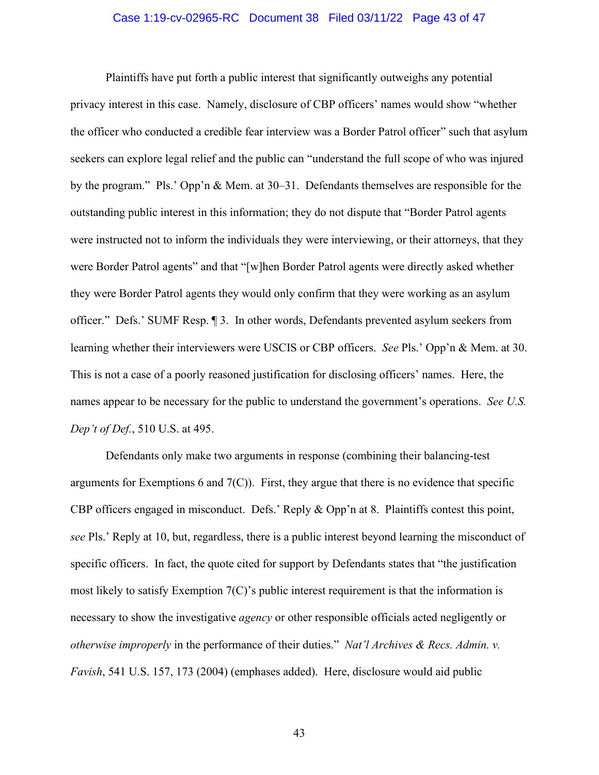### Case 1:19-cv-02965-RC Document 38 Filed 03/11/22 Page 43 of 47

Plaintiffs have put forth a public interest that significantly outweighs any potential privacy interest in this case. Namely, disclosure of CBP officers' names would show "whether the officer who conducted a credible fear interview was a Border Patrol officer" such that asylum seekers can explore legal relief and the public can "understand the full scope of who was injured by the program." Pls.' Opp'n & Mem. at 30–31. Defendants themselves are responsible for the outstanding public interest in this information; they do not dispute that "Border Patrol agents were instructed not to inform the individuals they were interviewing, or their attorneys, that they were Border Patrol agents" and that "[w]hen Border Patrol agents were directly asked whether they were Border Patrol agents they would only confirm that they were working as an asylum officer." Defs.' SUMF Resp. ¶ 3. In other words, Defendants prevented asylum seekers from learning whether their interviewers were USCIS or CBP officers. *See* Pls.' Opp'n & Mem. at 30. This is not a case of a poorly reasoned justification for disclosing officers' names. Here, the names appear to be necessary for the public to understand the government's operations. *See U.S. Dep't of Def.*, 510 U.S. at 495.

Defendants only make two arguments in response (combining their balancing-test arguments for Exemptions 6 and  $7(C)$ ). First, they argue that there is no evidence that specific CBP officers engaged in misconduct. Defs.' Reply & Opp'n at 8. Plaintiffs contest this point, *see* Pls.' Reply at 10, but, regardless, there is a public interest beyond learning the misconduct of specific officers. In fact, the quote cited for support by Defendants states that "the justification most likely to satisfy Exemption 7(C)'s public interest requirement is that the information is necessary to show the investigative *agency* or other responsible officials acted negligently or *otherwise improperly* in the performance of their duties." *Nat'l Archives & Recs. Admin. v. Favish*, 541 U.S. 157, 173 (2004) (emphases added). Here, disclosure would aid public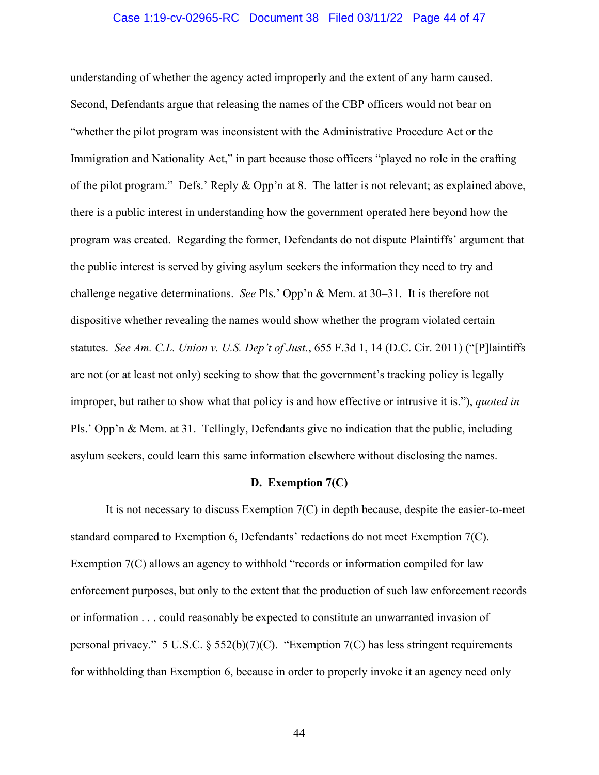### Case 1:19-cv-02965-RC Document 38 Filed 03/11/22 Page 44 of 47

understanding of whether the agency acted improperly and the extent of any harm caused. Second, Defendants argue that releasing the names of the CBP officers would not bear on "whether the pilot program was inconsistent with the Administrative Procedure Act or the Immigration and Nationality Act," in part because those officers "played no role in the crafting of the pilot program." Defs.' Reply & Opp'n at 8. The latter is not relevant; as explained above, there is a public interest in understanding how the government operated here beyond how the program was created. Regarding the former, Defendants do not dispute Plaintiffs' argument that the public interest is served by giving asylum seekers the information they need to try and challenge negative determinations. *See* Pls.' Opp'n & Mem. at 30–31. It is therefore not dispositive whether revealing the names would show whether the program violated certain statutes. *See Am. C.L. Union v. U.S. Dep't of Just.*, 655 F.3d 1, 14 (D.C. Cir. 2011) ("[P]laintiffs are not (or at least not only) seeking to show that the government's tracking policy is legally improper, but rather to show what that policy is and how effective or intrusive it is."), *quoted in* Pls.' Opp'n & Mem. at 31. Tellingly, Defendants give no indication that the public, including asylum seekers, could learn this same information elsewhere without disclosing the names.

## **D. Exemption 7(C)**

It is not necessary to discuss Exemption 7(C) in depth because, despite the easier-to-meet standard compared to Exemption 6, Defendants' redactions do not meet Exemption 7(C). Exemption 7(C) allows an agency to withhold "records or information compiled for law enforcement purposes, but only to the extent that the production of such law enforcement records or information . . . could reasonably be expected to constitute an unwarranted invasion of personal privacy." 5 U.S.C. § 552(b)(7)(C). "Exemption 7(C) has less stringent requirements for withholding than Exemption 6, because in order to properly invoke it an agency need only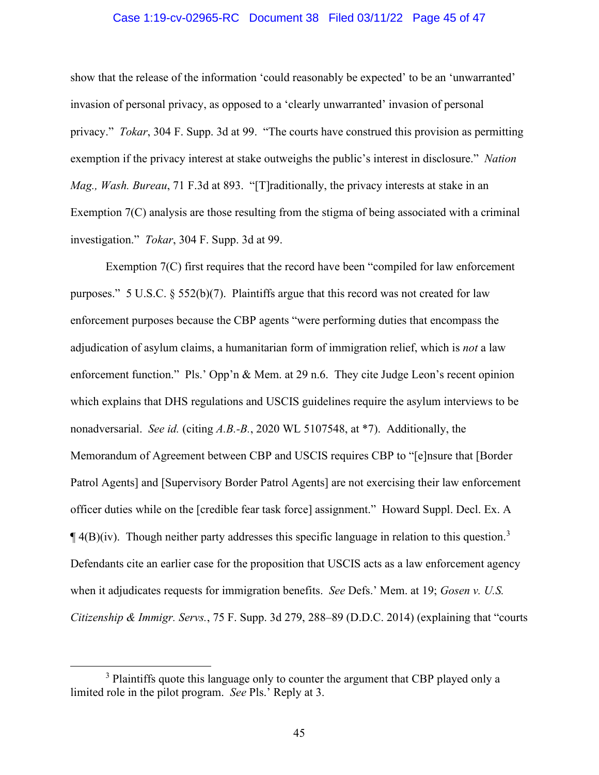### Case 1:19-cv-02965-RC Document 38 Filed 03/11/22 Page 45 of 47

show that the release of the information 'could reasonably be expected' to be an 'unwarranted' invasion of personal privacy, as opposed to a 'clearly unwarranted' invasion of personal privacy." *Tokar*, 304 F. Supp. 3d at 99. "The courts have construed this provision as permitting exemption if the privacy interest at stake outweighs the public's interest in disclosure." *Nation Mag., Wash. Bureau*, 71 F.3d at 893. "[T]raditionally, the privacy interests at stake in an Exemption 7(C) analysis are those resulting from the stigma of being associated with a criminal investigation." *Tokar*, 304 F. Supp. 3d at 99.

Exemption 7(C) first requires that the record have been "compiled for law enforcement purposes." 5 U.S.C. § 552(b)(7). Plaintiffs argue that this record was not created for law enforcement purposes because the CBP agents "were performing duties that encompass the adjudication of asylum claims, a humanitarian form of immigration relief, which is *not* a law enforcement function." Pls.' Opp'n & Mem. at 29 n.6. They cite Judge Leon's recent opinion which explains that DHS regulations and USCIS guidelines require the asylum interviews to be nonadversarial. *See id.* (citing *A.B.-B.*, 2020 WL 5107548, at \*7). Additionally, the Memorandum of Agreement between CBP and USCIS requires CBP to "[e]nsure that [Border Patrol Agents] and [Supervisory Border Patrol Agents] are not exercising their law enforcement officer duties while on the [credible fear task force] assignment." Howard Suppl. Decl. Ex. A  $\P$ 4(B)(iv). Though neither party addresses this specific language in relation to this question.<sup>3</sup> Defendants cite an earlier case for the proposition that USCIS acts as a law enforcement agency when it adjudicates requests for immigration benefits. *See* Defs.' Mem. at 19; *Gosen v. U.S. Citizenship & Immigr. Servs.*, 75 F. Supp. 3d 279, 288–89 (D.D.C. 2014) (explaining that "courts

<sup>&</sup>lt;sup>3</sup> Plaintiffs quote this language only to counter the argument that CBP played only a limited role in the pilot program. *See* Pls.' Reply at 3.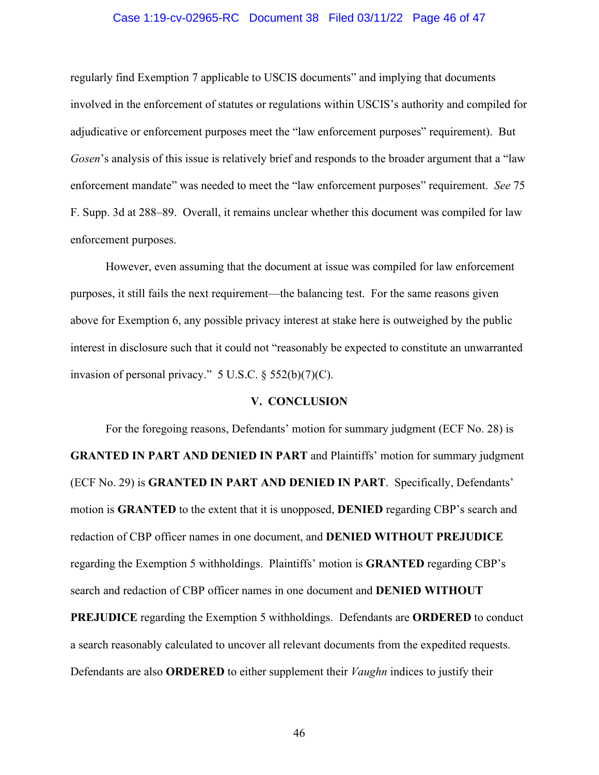### Case 1:19-cv-02965-RC Document 38 Filed 03/11/22 Page 46 of 47

regularly find Exemption 7 applicable to USCIS documents" and implying that documents involved in the enforcement of statutes or regulations within USCIS's authority and compiled for adjudicative or enforcement purposes meet the "law enforcement purposes" requirement). But *Gosen*'s analysis of this issue is relatively brief and responds to the broader argument that a "law" enforcement mandate" was needed to meet the "law enforcement purposes" requirement. *See* 75 F. Supp. 3d at 288–89. Overall, it remains unclear whether this document was compiled for law enforcement purposes.

However, even assuming that the document at issue was compiled for law enforcement purposes, it still fails the next requirement—the balancing test. For the same reasons given above for Exemption 6, any possible privacy interest at stake here is outweighed by the public interest in disclosure such that it could not "reasonably be expected to constitute an unwarranted invasion of personal privacy."  $5 \text{ U.S.C.} \$  $552(b)(7)(C)$ .

### **V. CONCLUSION**

For the foregoing reasons, Defendants' motion for summary judgment (ECF No. 28) is **GRANTED IN PART AND DENIED IN PART** and Plaintiffs' motion for summary judgment (ECF No. 29) is **GRANTED IN PART AND DENIED IN PART**. Specifically, Defendants' motion is **GRANTED** to the extent that it is unopposed, **DENIED** regarding CBP's search and redaction of CBP officer names in one document, and **DENIED WITHOUT PREJUDICE** regarding the Exemption 5 withholdings. Plaintiffs' motion is **GRANTED** regarding CBP's search and redaction of CBP officer names in one document and **DENIED WITHOUT PREJUDICE** regarding the Exemption 5 withholdings. Defendants are **ORDERED** to conduct

a search reasonably calculated to uncover all relevant documents from the expedited requests. Defendants are also **ORDERED** to either supplement their *Vaughn* indices to justify their